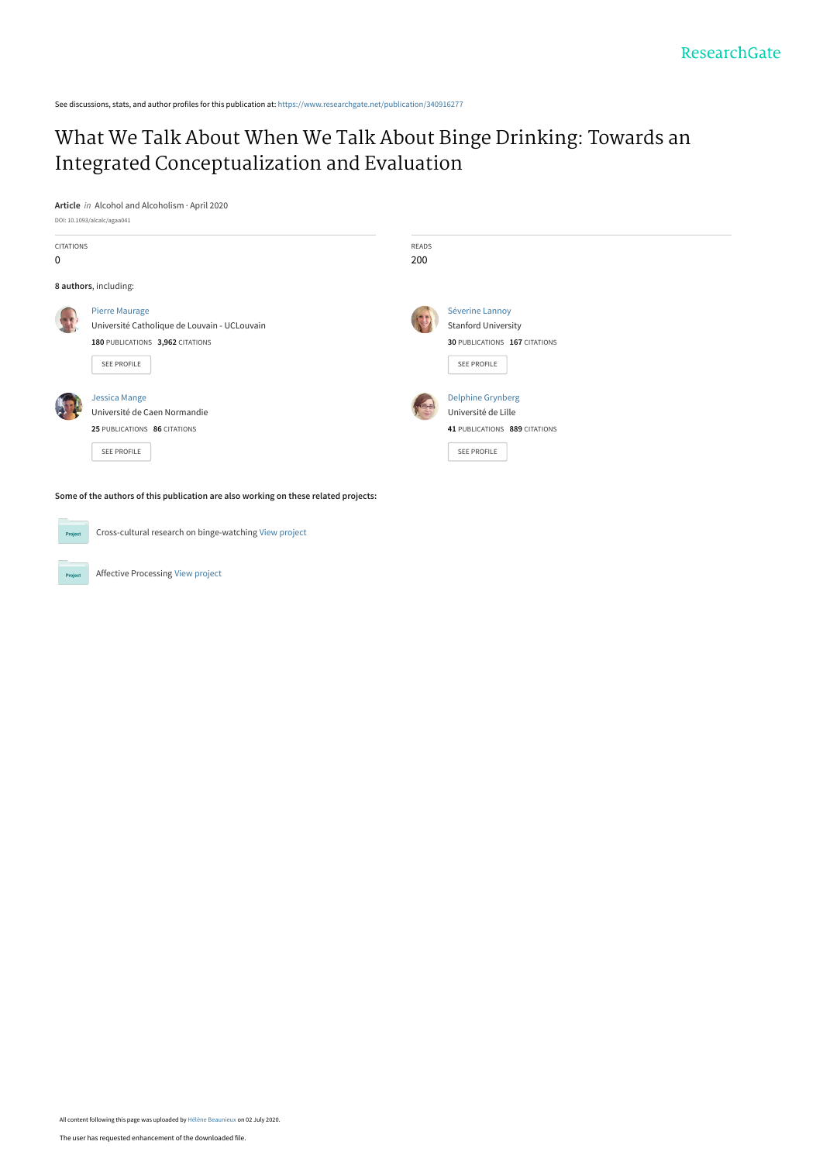See discussions, stats, and author profiles for this publication at: [https://www.researchgate.net/publication/340916277](https://www.researchgate.net/publication/340916277_What_We_Talk_About_When_We_Talk_About_Binge_Drinking_Towards_an_Integrated_Conceptualization_and_Evaluation?enrichId=rgreq-45f519f7eefe3f017b77041cabaee502-XXX&enrichSource=Y292ZXJQYWdlOzM0MDkxNjI3NztBUzo5MDg4OTQwMDgyNzQ5NDVAMTU5MzcwODYyNjQ5MA%3D%3D&el=1_x_2&_esc=publicationCoverPdf)

# [What We Talk About When We Talk About Binge Drinking: Towards an](https://www.researchgate.net/publication/340916277_What_We_Talk_About_When_We_Talk_About_Binge_Drinking_Towards_an_Integrated_Conceptualization_and_Evaluation?enrichId=rgreq-45f519f7eefe3f017b77041cabaee502-XXX&enrichSource=Y292ZXJQYWdlOzM0MDkxNjI3NztBUzo5MDg4OTQwMDgyNzQ5NDVAMTU5MzcwODYyNjQ5MA%3D%3D&el=1_x_3&_esc=publicationCoverPdf) Integrated Conceptualization and Evaluation

**Article** in Alcohol and Alcoholism · April 2020



**Some of the authors of this publication are also working on these related projects:**

Cross-cultural research on binge-watching [View project](https://www.researchgate.net/project/Cross-cultural-research-on-binge-watching?enrichId=rgreq-45f519f7eefe3f017b77041cabaee502-XXX&enrichSource=Y292ZXJQYWdlOzM0MDkxNjI3NztBUzo5MDg4OTQwMDgyNzQ5NDVAMTU5MzcwODYyNjQ5MA%3D%3D&el=1_x_9&_esc=publicationCoverPdf)  $Prc$ 

Affective Processing [View project](https://www.researchgate.net/project/Affective-Processing?enrichId=rgreq-45f519f7eefe3f017b77041cabaee502-XXX&enrichSource=Y292ZXJQYWdlOzM0MDkxNjI3NztBUzo5MDg4OTQwMDgyNzQ5NDVAMTU5MzcwODYyNjQ5MA%3D%3D&el=1_x_9&_esc=publicationCoverPdf)

Project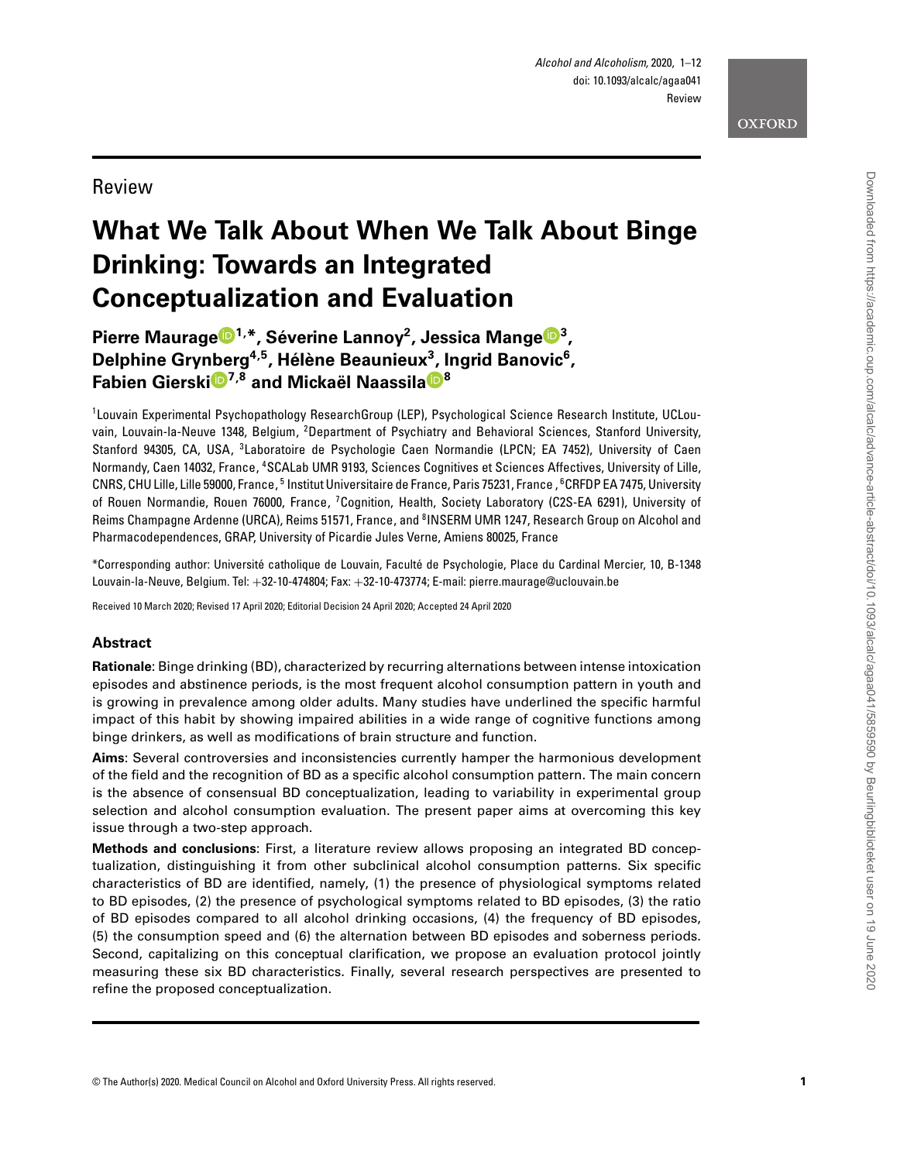Review

# **What We Talk About When We Talk About Binge Drinking: Towards an Integrated Conceptualization and Evaluation**

**Pierre Maurag[e](http://orcid.org/0000-0003-0197-0810) 1 , \*, Séverine Lannoy 2 , Jessica Mange [3](http://orcid.org/0000-0001-6279-4721) , Delphine Grynberg 4 , 5 , Hélène Beaunieux 3 , Ingrid Banovic 6 , Fabien Giersk[i](http://orcid.org/0000-0001-9168-2024) 7 , <sup>8</sup> and Mickaël Naassil[a](https://orcid.org/0000-0002-9788-0918) 8**

1 Louvain Experimental Psychopathology ResearchGroup (LEP), Psychological Science Research Institute, UCLouvain, Louvain-la-Neuve 1348, Belgium, <sup>2</sup>Department of Psychiatry and Behavioral Sciences, Stanford University, Stanford 94305, CA, USA, <sup>3</sup>Laboratoire de Psychologie Caen Normandie (LPCN; EA 7452), University of Caen Normandy, Caen 14032, France, <sup>4</sup>SCALab UMR 9193, Sciences Cognitives et Sciences Affectives, University of Lille, CNRS, CHU Lille, Lille 59000, France, <sup>5</sup> Institut Universitaire de France, Paris 75231, France , <sup>6</sup>CRFDP EA 7475, University of Rouen Normandie, Rouen 76000, France, <sup>7</sup>Cognition, Health, Society Laboratory (C2S-EA 6291), University of Reims Champagne Ardenne (URCA), Reims 51571, France, and <sup>8</sup>INSERM UMR 1247, Research Group on Alcohol and Pharmacodependences, GRAP, University of Picardie Jules Verne, Amiens 80025, France

\*Corresponding author: Université catholique de Louvain, Faculté de Psychologie, Place du Cardinal Mercier, 10, B-1348 Louvain-la-Neuve, Belgium. Tel: +32-10-474804; Fax: +32-10-473774; E-mail: pierre.maurage@uclouvain.be

Received 10 March 2020; Revised 17 April 2020; Editorial Decision 24 April 2020; Accepted 24 April 2020

# **Abstract**

**Rationale**: Binge drinking (BD), characterized by recurring alternations between intense intoxication episodes and abstinence periods, is the most frequent alcohol consumption pattern in youth and is growing in prevalence among older adults. Many studies have underlined the specific harmful impact of this habit by showing impaired abilities in a wide range of cognitive functions among binge drinkers, as well as modifications of brain structure and function.

**Aims**: Several controversies and inconsistencies currently hamper the harmonious development of the field and the recognition of BD as a specific alcohol consumption pattern. The main concern is the absence of consensual BD conceptualization, leading to variability in experimental group selection and alcohol consumption evaluation. The present paper aims at overcoming this key issue through a two-step approach.

**Methods and conclusions**: First, a literature review allows proposing an integrated BD conceptualization, distinguishing it from other subclinical alcohol consumption patterns. Six specific characteristics of BD are identified, namely, (1) the presence of physiological symptoms related to BD episodes, (2) the presence of psychological symptoms related to BD episodes, (3) the ratio of BD episodes compared to all alcohol drinking occasions, (4) the frequency of BD episodes, (5) the consumption speed and (6) the alternation between BD episodes and soberness periods. Second, capitalizing on this conceptual clarification, we propose an evaluation protocol jointly measuring these six BD characteristics. Finally, several research perspectives are presented to refine the proposed conceptualization.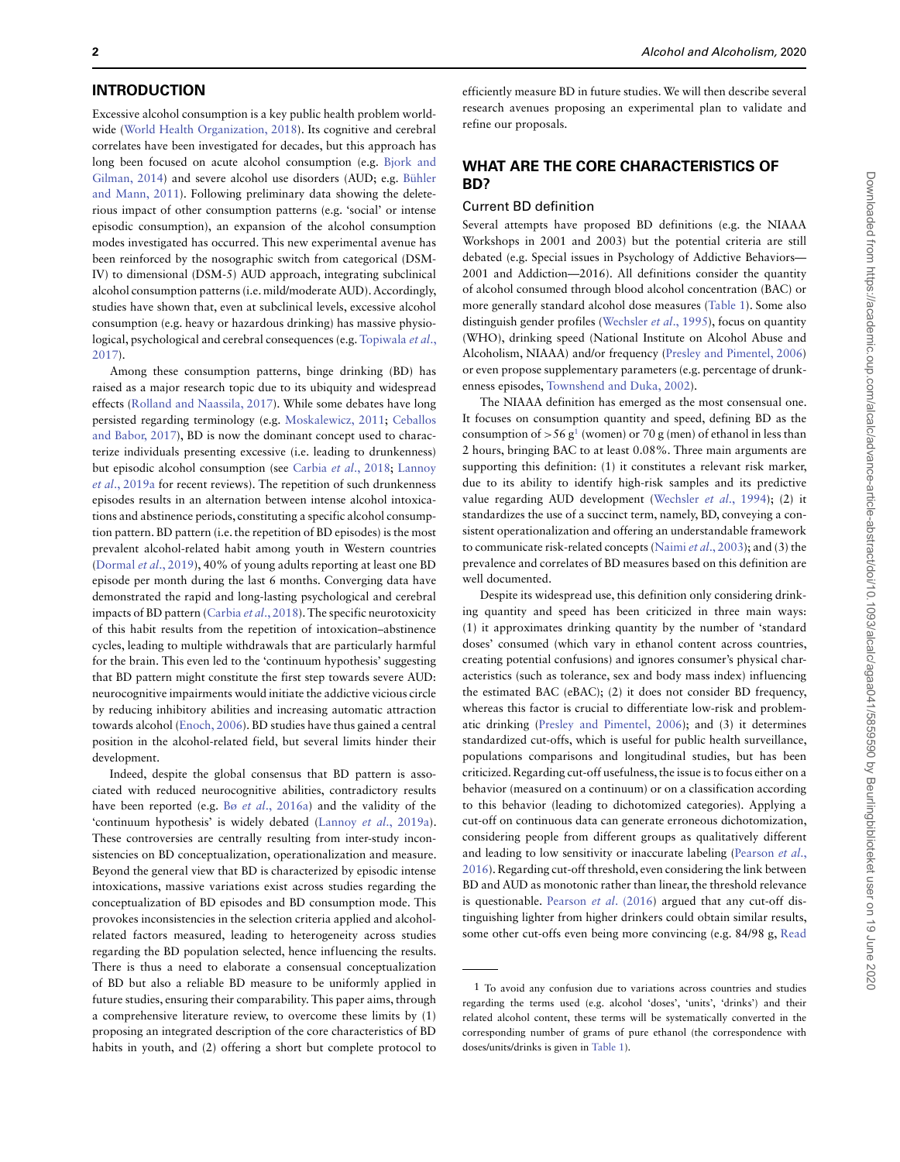## **INTRODUCTION**

Excessive alcohol consumption is a key public health problem worldwide [\(World Health Organization, 2018\)](#page-12-0). Its cognitive and cerebral correlates have been investigated for decades, but this approach has long been focused on acute alcohol consumption (e.g. Bjork and [Gilman, 2014\) and severe alcohol use disorders \(AUD; e.g.](#page-9-0) Bühler [and Mann, 2011\). Following preliminary data showing the delete](#page-9-1)rious impact of other consumption patterns (e.g. 'social' or intense episodic consumption), an expansion of the alcohol consumption modes investigated has occurred. This new experimental avenue has been reinforced by the nosographic switch from categorical (DSM-IV) to dimensional (DSM-5) AUD approach, integrating subclinical alcohol consumption patterns (i.e. mild/moderate AUD). Accordingly, studies have shown that, even at subclinical levels, excessive alcohol consumption (e.g. heavy or hazardous drinking) has massive physio[logical, psychological and cerebral consequences \(e.g.](#page-12-1) Topiwala et al., 2017).

Among these consumption patterns, binge drinking (BD) has raised as a major research topic due to its ubiquity and widespread effects [\(Rolland and Naassila, 2017\)](#page-11-0). While some debates have long persisted regarding terminology (e.g. [Moskalewicz, 2011;](#page-11-1) Ceballos [and Babor, 2017\), BD is now the dominant concept used to charac](#page-9-2)terize individuals presenting excessive (i.e. leading to drunkenness) but episodic alcohol consumption (see Carbia et al[., 2018;](#page-9-3) Lannoy et al., 2019a [for recent reviews\). The repetition of such drunkenness](#page-10-0) episodes results in an alternation between intense alcohol intoxications and abstinence periods, constituting a specific alcohol consumption pattern. BD pattern (i.e. the repetition of BD episodes) is the most prevalent alcohol-related habit among youth in Western countries [\(Dormal](#page-10-1) et al., 2019), 40% of young adults reporting at least one BD episode per month during the last 6 months. Converging data have demonstrated the rapid and long-lasting psychological and cerebral impacts of BD pattern [\(Carbia](#page-9-3) et al., 2018). The specific neurotoxicity of this habit results from the repetition of intoxication–abstinence cycles, leading to multiple withdrawals that are particularly harmful for the brain. This even led to the 'continuum hypothesis' suggesting that BD pattern might constitute the first step towards severe AUD: neurocognitive impairments would initiate the addictive vicious circle by reducing inhibitory abilities and increasing automatic attraction towards alcohol [\(Enoch, 2006\)](#page-10-2). BD studies have thus gained a central position in the alcohol-related field, but several limits hinder their development.

Indeed, despite the global consensus that BD pattern is associated with reduced neurocognitive abilities, contradictory results have been reported (e.g. Bø et al[., 2016a\)](#page-9-4) and the validity of the 'continuum hypothesis' is widely debated (Lannoy et al[., 2019a\)](#page-10-0). These controversies are centrally resulting from inter-study inconsistencies on BD conceptualization, operationalization and measure. Beyond the general view that BD is characterized by episodic intense intoxications, massive variations exist across studies regarding the conceptualization of BD episodes and BD consumption mode. This provokes inconsistencies in the selection criteria applied and alcoholrelated factors measured, leading to heterogeneity across studies regarding the BD population selected, hence influencing the results. There is thus a need to elaborate a consensual conceptualization of BD but also a reliable BD measure to be uniformly applied in future studies, ensuring their comparability. This paper aims, through a comprehensive literature review, to overcome these limits by (1) proposing an integrated description of the core characteristics of BD habits in youth, and (2) offering a short but complete protocol to

efficiently measure BD in future studies. We will then describe several research avenues proposing an experimental plan to validate and refine our proposals.

# **WHAT ARE THE CORE CHARACTERISTICS OF BD?**

# Current BD definition

Several attempts have proposed BD definitions (e.g. the NIAAA Workshops in 2001 and 2003) but the potential criteria are still debated (e.g. Special issues in Psychology of Addictive Behaviors— 2001 and Addiction—2016). All definitions consider the quantity of alcohol consumed through blood alcohol concentration (BAC) or more generally standard alcohol dose measures [\(Table 1\)](#page-3-0). Some also distinguish gender profiles [\(Wechsler](#page-12-2) et al., 1995), focus on quantity (WHO), drinking speed (National Institute on Alcohol Abuse and Alcoholism, NIAAA) and/or frequency [\(Presley and Pimentel, 2006\)](#page-11-2) or even propose supplementary parameters (e.g. percentage of drunkenness episodes, [Townshend and Duka, 2002\)](#page-12-3).

The NIAAA definition has emerged as the most consensual one. It focuses on consumption quantity and speed, defining BD as the consumption of  $> 56 g<sup>1</sup>$  (women) or 70 g (men) of ethanol in less than 2 hours, bringing BAC to at least 0.08%. Three main arguments are supporting this definition: (1) it constitutes a relevant risk marker, due to its ability to identify high-risk samples and its predictive value regarding AUD development [\(Wechsler](#page-12-4) et al., 1994); (2) it standardizes the use of a succinct term, namely, BD, conveying a consistent operationalization and offering an understandable framework to communicate risk-related concepts (Naimi et al[., 2003\)](#page-11-3); and (3) the prevalence and correlates of BD measures based on this definition are well documented.

Despite its widespread use, this definition only considering drinking quantity and speed has been criticized in three main ways: (1) it approximates drinking quantity by the number of 'standard doses' consumed (which vary in ethanol content across countries, creating potential confusions) and ignores consumer's physical characteristics (such as tolerance, sex and body mass index) influencing the estimated BAC (eBAC); (2) it does not consider BD frequency, whereas this factor is crucial to differentiate low-risk and problematic drinking [\(Presley and Pimentel, 2006\)](#page-11-2); and (3) it determines standardized cut-offs, which is useful for public health surveillance, populations comparisons and longitudinal studies, but has been criticized. Regarding cut-off usefulness, the issue is to focus either on a behavior (measured on a continuum) or on a classification according to this behavior (leading to dichotomized categories). Applying a cut-off on continuous data can generate erroneous dichotomization, considering people from different groups as qualitatively different and leading to low sensitivity or inaccurate labeling (Pearson et al., [2016\). Regarding cut-off threshold, even considering the link between](#page-11-4) BD and AUD as monotonic rather than linear, the threshold relevance is questionable. [Pearson](#page-11-4) et al. (2016) argued that any cut-off distinguishing lighter from higher drinkers could obtain similar results, some other cut-offs even being more convincing (e.g. 84/98 g, [Read](#page-11-5)

<span id="page-2-0"></span><sup>1</sup> To avoid any confusion due to variations across countries and studies regarding the terms used (e.g. alcohol 'doses', 'units', 'drinks') and their related alcohol content, these terms will be systematically converted in the corresponding number of grams of pure ethanol (the correspondence with doses/units/drinks is given in [Table 1\)](#page-3-0).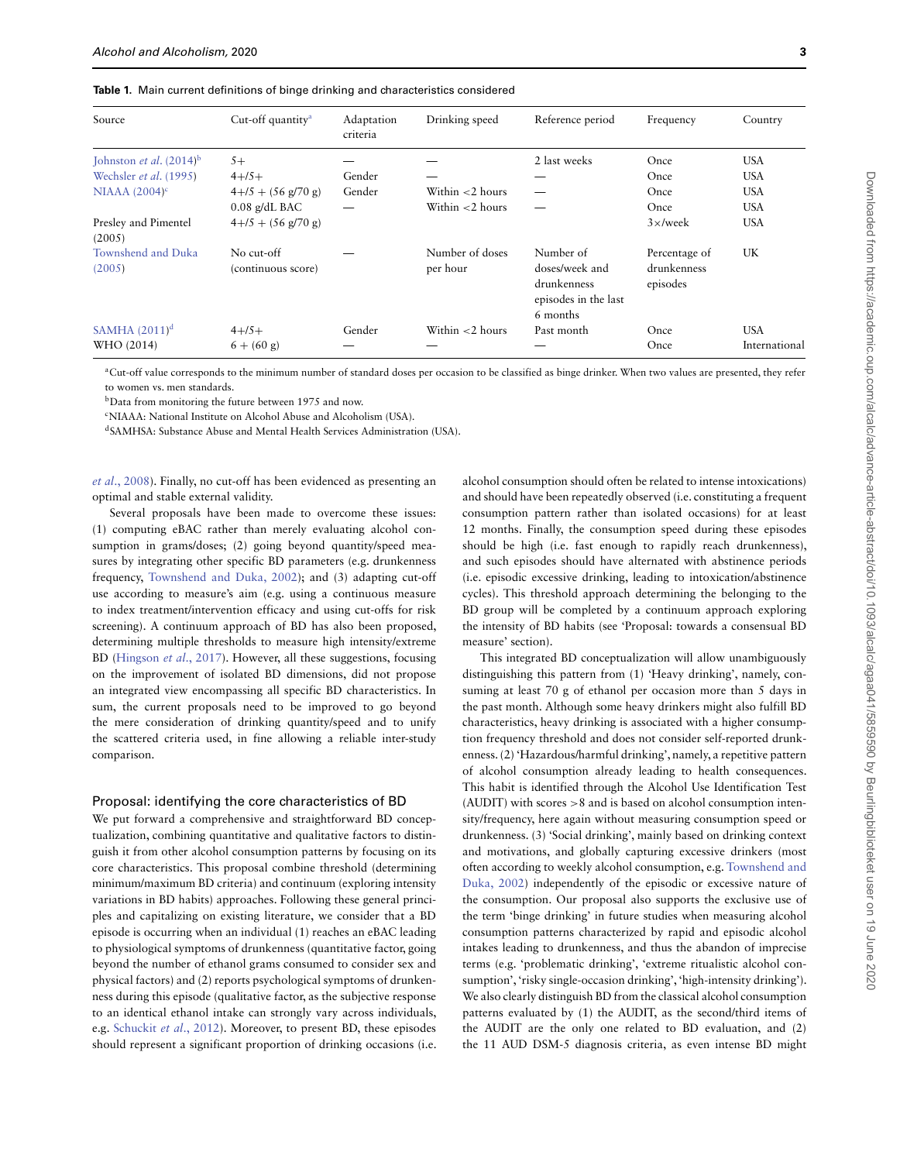<span id="page-3-0"></span>

| Source                              | Cut-off quantity <sup>a</sup>          | Adaptation<br>criteria | Drinking speed     | Reference period                                                  | Frequency               | Country       |
|-------------------------------------|----------------------------------------|------------------------|--------------------|-------------------------------------------------------------------|-------------------------|---------------|
| Johnston <i>et al.</i> $(2014)^{b}$ | $5+$                                   |                        |                    | 2 last weeks                                                      | Once                    | <b>USA</b>    |
| Wechsler et al. (1995)              | $4 + 75 +$                             | Gender                 |                    |                                                                   | Once                    | <b>USA</b>    |
| NIAAA $(2004)^c$                    | $4 + 75 + (56 \text{ g}/70 \text{ g})$ | Gender                 | Within $<$ 2 hours |                                                                   | Once                    | <b>USA</b>    |
|                                     | $0.08$ g/dL BAC                        |                        | Within $<$ 2 hours |                                                                   | Once                    | <b>USA</b>    |
| Presley and Pimentel                | $4 + 75 + (56 \text{ g}/70 \text{ g})$ |                        |                    |                                                                   | $3 \times$ /week        | <b>USA</b>    |
| (2005)                              |                                        |                        |                    |                                                                   |                         |               |
| Townshend and Duka                  | No cut-off                             |                        | Number of doses    | Number of                                                         | Percentage of           | UK            |
| (2005)                              | (continuous score)                     |                        | per hour           | doses/week and<br>drunkenness<br>episodes in the last<br>6 months | drunkenness<br>episodes |               |
| SAMHA $(2011)^d$                    | $4 + 75 +$                             | Gender                 | Within $<$ 2 hours | Past month                                                        | Once                    | <b>USA</b>    |
| WHO (2014)                          | $6 + (60 \text{ g})$                   |                        |                    |                                                                   | Once                    | International |

<sup>a</sup>Cut-off value corresponds to the minimum number of standard doses per occasion to be classified as binge drinker. When two values are presented, they refer to women vs. men standards.

bData from monitoring the future between 1975 and now.

cNIAAA: National Institute on Alcohol Abuse and Alcoholism (USA).

dSAMHSA: Substance Abuse and Mental Health Services Administration (USA).

et al[., 2008\)](#page-11-5). Finally, no cut-off has been evidenced as presenting an optimal and stable external validity.

Several proposals have been made to overcome these issues: (1) computing eBAC rather than merely evaluating alcohol consumption in grams/doses; (2) going beyond quantity/speed measures by integrating other specific BD parameters (e.g. drunkenness frequency, [Townshend and Duka, 2002\)](#page-12-3); and (3) adapting cut-off use according to measure's aim (e.g. using a continuous measure to index treatment/intervention efficacy and using cut-offs for risk screening). A continuum approach of BD has also been proposed, determining multiple thresholds to measure high intensity/extreme BD [\(Hingson](#page-10-4) et al., 2017). However, all these suggestions, focusing on the improvement of isolated BD dimensions, did not propose an integrated view encompassing all specific BD characteristics. In sum, the current proposals need to be improved to go beyond the mere consideration of drinking quantity/speed and to unify the scattered criteria used, in fine allowing a reliable inter-study comparison.

#### Proposal: identifying the core characteristics of BD

We put forward a comprehensive and straightforward BD conceptualization, combining quantitative and qualitative factors to distinguish it from other alcohol consumption patterns by focusing on its core characteristics. This proposal combine threshold (determining minimum/maximum BD criteria) and continuum (exploring intensity variations in BD habits) approaches. Following these general principles and capitalizing on existing literature, we consider that a BD episode is occurring when an individual (1) reaches an eBAC leading to physiological symptoms of drunkenness (quantitative factor, going beyond the number of ethanol grams consumed to consider sex and physical factors) and (2) reports psychological symptoms of drunkenness during this episode (qualitative factor, as the subjective response to an identical ethanol intake can strongly vary across individuals, e.g. [Schuckit](#page-11-7) et al., 2012). Moreover, to present BD, these episodes should represent a significant proportion of drinking occasions (i.e.

alcohol consumption should often be related to intense intoxications) and should have been repeatedly observed (i.e. constituting a frequent consumption pattern rather than isolated occasions) for at least 12 months. Finally, the consumption speed during these episodes should be high (i.e. fast enough to rapidly reach drunkenness), and such episodes should have alternated with abstinence periods (i.e. episodic excessive drinking, leading to intoxication/abstinence cycles). This threshold approach determining the belonging to the BD group will be completed by a continuum approach exploring the intensity of BD habits (see 'Proposal: towards a consensual BD measure' section).

This integrated BD conceptualization will allow unambiguously distinguishing this pattern from (1) 'Heavy drinking', namely, consuming at least 70 g of ethanol per occasion more than 5 days in the past month. Although some heavy drinkers might also fulfill BD characteristics, heavy drinking is associated with a higher consumption frequency threshold and does not consider self-reported drunkenness. (2) 'Hazardous/harmful drinking', namely, a repetitive pattern of alcohol consumption already leading to health consequences. This habit is identified through the Alcohol Use Identification Test (AUDIT) with scores *>*8 and is based on alcohol consumption intensity/frequency, here again without measuring consumption speed or drunkenness. (3) 'Social drinking', mainly based on drinking context and motivations, and globally capturing excessive drinkers (most often according to weekly alcohol consumption, e.g. Townshend and [Duka, 2002\) independently of the episodic or excessive nature of](#page-12-3) the consumption. Our proposal also supports the exclusive use of the term 'binge drinking' in future studies when measuring alcohol consumption patterns characterized by rapid and episodic alcohol intakes leading to drunkenness, and thus the abandon of imprecise terms (e.g. 'problematic drinking', 'extreme ritualistic alcohol consumption', 'risky single-occasion drinking', 'high-intensity drinking'). We also clearly distinguish BD from the classical alcohol consumption patterns evaluated by (1) the AUDIT, as the second/third items of the AUDIT are the only one related to BD evaluation, and (2) the 11 AUD DSM-5 diagnosis criteria, as even intense BD might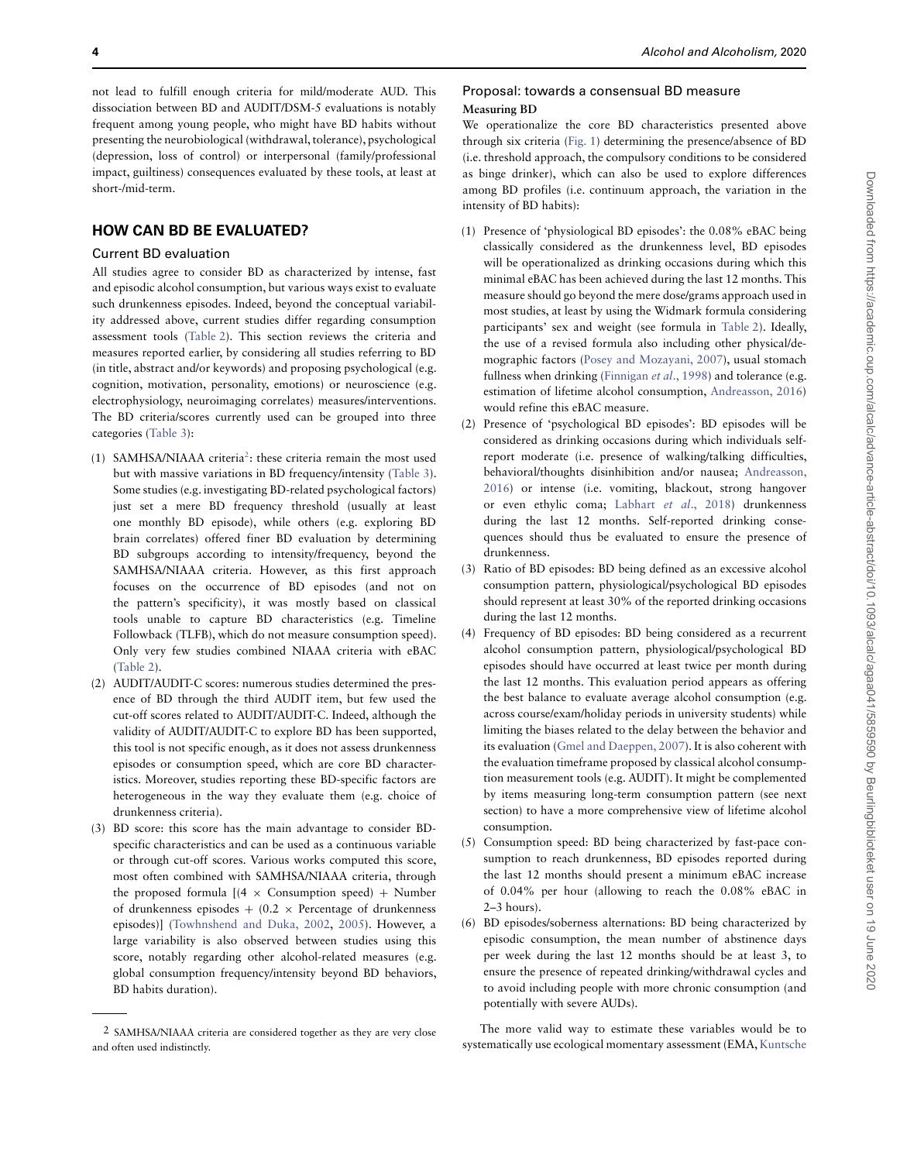not lead to fulfill enough criteria for mild/moderate AUD. This dissociation between BD and AUDIT/DSM-5 evaluations is notably frequent among young people, who might have BD habits without presenting the neurobiological (withdrawal, tolerance), psychological (depression, loss of control) or interpersonal (family/professional impact, guiltiness) consequences evaluated by these tools, at least at short-/mid-term.

# **HOW CAN BD BE EVALUATED?**

#### Current BD evaluation

All studies agree to consider BD as characterized by intense, fast and episodic alcohol consumption, but various ways exist to evaluate such drunkenness episodes. Indeed, beyond the conceptual variability addressed above, current studies differ regarding consumption assessment tools [\(Table 2\)](#page-5-0). This section reviews the criteria and measures reported earlier, by considering all studies referring to BD (in title, abstract and/or keywords) and proposing psychological (e.g. cognition, motivation, personality, emotions) or neuroscience (e.g. electrophysiology, neuroimaging correlates) measures/interventions. The BD criteria/scores currently used can be grouped into three categories [\(Table 3\)](#page-6-0):

- (1) SAMHSA/NIAAA criteria<sup>2</sup>: these criteria remain the most used but with massive variations in BD frequency/intensity [\(Table 3\)](#page-6-0). Some studies (e.g. investigating BD-related psychological factors) just set a mere BD frequency threshold (usually at least one monthly BD episode), while others (e.g. exploring BD brain correlates) offered finer BD evaluation by determining BD subgroups according to intensity/frequency, beyond the SAMHSA/NIAAA criteria. However, as this first approach focuses on the occurrence of BD episodes (and not on the pattern's specificity), it was mostly based on classical tools unable to capture BD characteristics (e.g. Timeline Followback (TLFB), which do not measure consumption speed). Only very few studies combined NIAAA criteria with eBAC [\(Table 2\)](#page-5-0).
- (2) AUDIT/AUDIT-C scores: numerous studies determined the presence of BD through the third AUDIT item, but few used the cut-off scores related to AUDIT/AUDIT-C. Indeed, although the validity of AUDIT/AUDIT-C to explore BD has been supported, this tool is not specific enough, as it does not assess drunkenness episodes or consumption speed, which are core BD characteristics. Moreover, studies reporting these BD-specific factors are heterogeneous in the way they evaluate them (e.g. choice of drunkenness criteria).
- (3) BD score: this score has the main advantage to consider BDspecific characteristics and can be used as a continuous variable or through cut-off scores. Various works computed this score, most often combined with SAMHSA/NIAAA criteria, through the proposed formula  $[(4 \times \text{Consumption speed}) + \text{Number}]$ of drunkenness episodes  $+$  (0.2  $\times$  Percentage of drunkenness episodes)] [\(Towhnshend and Duka, 2002,](#page-12-3) [2005\)](#page-12-5). However, a large variability is also observed between studies using this score, notably regarding other alcohol-related measures (e.g. global consumption frequency/intensity beyond BD behaviors, BD habits duration).

#### Proposal: towards a consensual BD measure **Measuring BD**

We operationalize the core BD characteristics presented above through six criteria [\(Fig. 1\)](#page-5-1) determining the presence/absence of BD (i.e. threshold approach, the compulsory conditions to be considered as binge drinker), which can also be used to explore differences among BD profiles (i.e. continuum approach, the variation in the intensity of BD habits):

- (1) Presence of 'physiological BD episodes': the 0.08% eBAC being classically considered as the drunkenness level, BD episodes will be operationalized as drinking occasions during which this minimal eBAC has been achieved during the last 12 months. This measure should go beyond the mere dose/grams approach used in most studies, at least by using the Widmark formula considering participants' sex and weight (see formula in [Table 2\)](#page-5-0). Ideally, the use of a revised formula also including other physical/demographic factors [\(Posey and Mozayani, 2007\)](#page-11-8), usual stomach fullness when drinking [\(Finnigan](#page-10-5) et al., 1998) and tolerance (e.g. estimation of lifetime alcohol consumption, [Andreasson, 2016\)](#page-9-5) would refine this eBAC measure.
- (2) Presence of 'psychological BD episodes': BD episodes will be considered as drinking occasions during which individuals selfreport moderate (i.e. presence of walking/talking difficulties, behavioral/thoughts disinhibition and/or nausea; Andreasson, [2016\) or intense \(i.e. vomiting, blackout, strong hangover](#page-9-5) or even ethylic coma; Labhart et al[., 2018\)](#page-10-6) drunkenness during the last 12 months. Self-reported drinking consequences should thus be evaluated to ensure the presence of drunkenness.
- (3) Ratio of BD episodes: BD being defined as an excessive alcohol consumption pattern, physiological/psychological BD episodes should represent at least 30% of the reported drinking occasions during the last 12 months.
- (4) Frequency of BD episodes: BD being considered as a recurrent alcohol consumption pattern, physiological/psychological BD episodes should have occurred at least twice per month during the last 12 months. This evaluation period appears as offering the best balance to evaluate average alcohol consumption (e.g. across course/exam/holiday periods in university students) while limiting the biases related to the delay between the behavior and its evaluation [\(Gmel and Daeppen, 2007\)](#page-10-7). It is also coherent with the evaluation timeframe proposed by classical alcohol consumption measurement tools (e.g. AUDIT). It might be complemented by items measuring long-term consumption pattern (see next section) to have a more comprehensive view of lifetime alcohol consumption.
- (5) Consumption speed: BD being characterized by fast-pace consumption to reach drunkenness, BD episodes reported during the last 12 months should present a minimum eBAC increase of 0.04% per hour (allowing to reach the 0.08% eBAC in 2–3 hours).
- (6) BD episodes/soberness alternations: BD being characterized by episodic consumption, the mean number of abstinence days per week during the last 12 months should be at least 3, to ensure the presence of repeated drinking/withdrawal cycles and to avoid including people with more chronic consumption (and potentially with severe AUDs).

The more valid way to estimate these variables would be to systematically use ecological momentary assessment (EMA, [Kuntsche](#page-10-8)

<span id="page-4-0"></span><sup>2</sup> SAMHSA/NIAAA criteria are considered together as they are very close and often used indistinctly.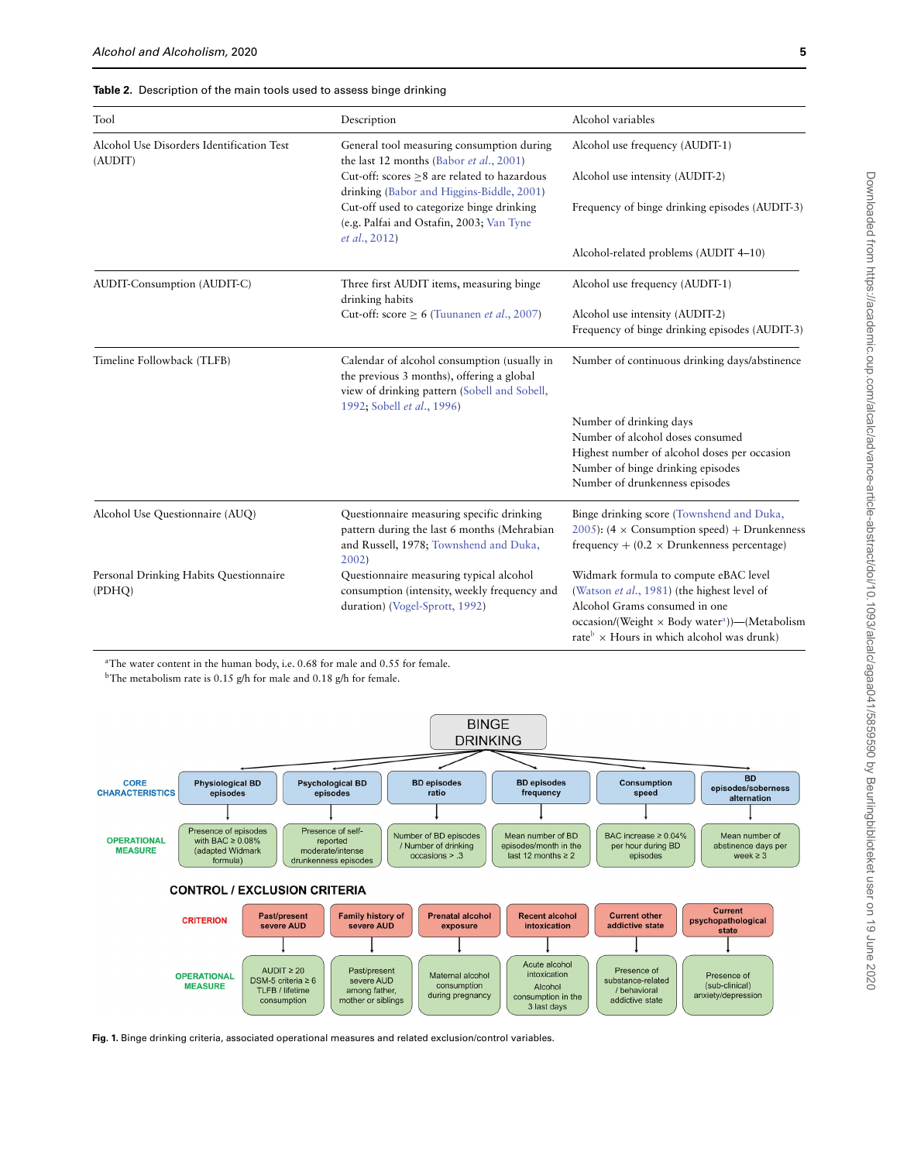#### <span id="page-5-0"></span>**Table 2.** Description of the main tools used to assess binge drinking

| Tool                                                 | Description                                                                                                                                                            | Alcohol variables                                                                                                                                     |
|------------------------------------------------------|------------------------------------------------------------------------------------------------------------------------------------------------------------------------|-------------------------------------------------------------------------------------------------------------------------------------------------------|
| Alcohol Use Disorders Identification Test<br>(AUDIT) | General tool measuring consumption during<br>the last 12 months (Babor et al., 2001)                                                                                   | Alcohol use frequency (AUDIT-1)                                                                                                                       |
|                                                      | Cut-off: scores >8 are related to hazardous<br>drinking (Babor and Higgins-Biddle, 2001)                                                                               | Alcohol use intensity (AUDIT-2)                                                                                                                       |
|                                                      | Cut-off used to categorize binge drinking<br>(e.g. Palfai and Ostafin, 2003; Van Tyne<br>et al., 2012)                                                                 | Frequency of binge drinking episodes (AUDIT-3)                                                                                                        |
|                                                      |                                                                                                                                                                        | Alcohol-related problems (AUDIT 4-10)                                                                                                                 |
| AUDIT-Consumption (AUDIT-C)                          | Three first AUDIT items, measuring binge<br>drinking habits                                                                                                            | Alcohol use frequency (AUDIT-1)                                                                                                                       |
|                                                      | Cut-off: score $\geq 6$ (Tuunanen et al., 2007)                                                                                                                        | Alcohol use intensity (AUDIT-2)<br>Frequency of binge drinking episodes (AUDIT-3)                                                                     |
| Timeline Followback (TLFB)                           | Calendar of alcohol consumption (usually in<br>the previous 3 months), offering a global<br>view of drinking pattern (Sobell and Sobell,<br>1992; Sobell et al., 1996) | Number of continuous drinking days/abstinence                                                                                                         |
|                                                      |                                                                                                                                                                        | Number of drinking days                                                                                                                               |
|                                                      |                                                                                                                                                                        | Number of alcohol doses consumed                                                                                                                      |
|                                                      |                                                                                                                                                                        | Highest number of alcohol doses per occasion                                                                                                          |
|                                                      |                                                                                                                                                                        | Number of binge drinking episodes<br>Number of drunkenness episodes                                                                                   |
| Alcohol Use Questionnaire (AUQ)                      | Questionnaire measuring specific drinking<br>pattern during the last 6 months (Mehrabian<br>and Russell, 1978; Townshend and Duka,<br>$2002$ )                         | Binge drinking score (Townshend and Duka,<br>2005): (4 $\times$ Consumption speed) + Drunkenness<br>frequency + $(0.2 \times$ Drunkenness percentage) |
| Personal Drinking Habits Questionnaire<br>(PDHQ)     | Questionnaire measuring typical alcohol<br>consumption (intensity, weekly frequency and<br>duration) (Vogel-Sprott, 1992)                                              | Widmark formula to compute eBAC level<br>(Watson et al., 1981) (the highest level of<br>Alcohol Grams consumed in one                                 |
|                                                      |                                                                                                                                                                        | occasion/(Weight $\times$ Body water <sup>a</sup> ))—(Metabolism<br>rate <sup>b</sup> $\times$ Hours in which alcohol was drunk)                      |

<sup>a</sup>The water content in the human body, i.e. 0.68 for male and 0.55 for female.

<sup>b</sup>The metabolism rate is 0.15 g/h for male and 0.18 g/h for female.



<span id="page-5-1"></span>**Fig. 1.** Binge drinking criteria, associated operational measures and related exclusion/control variables.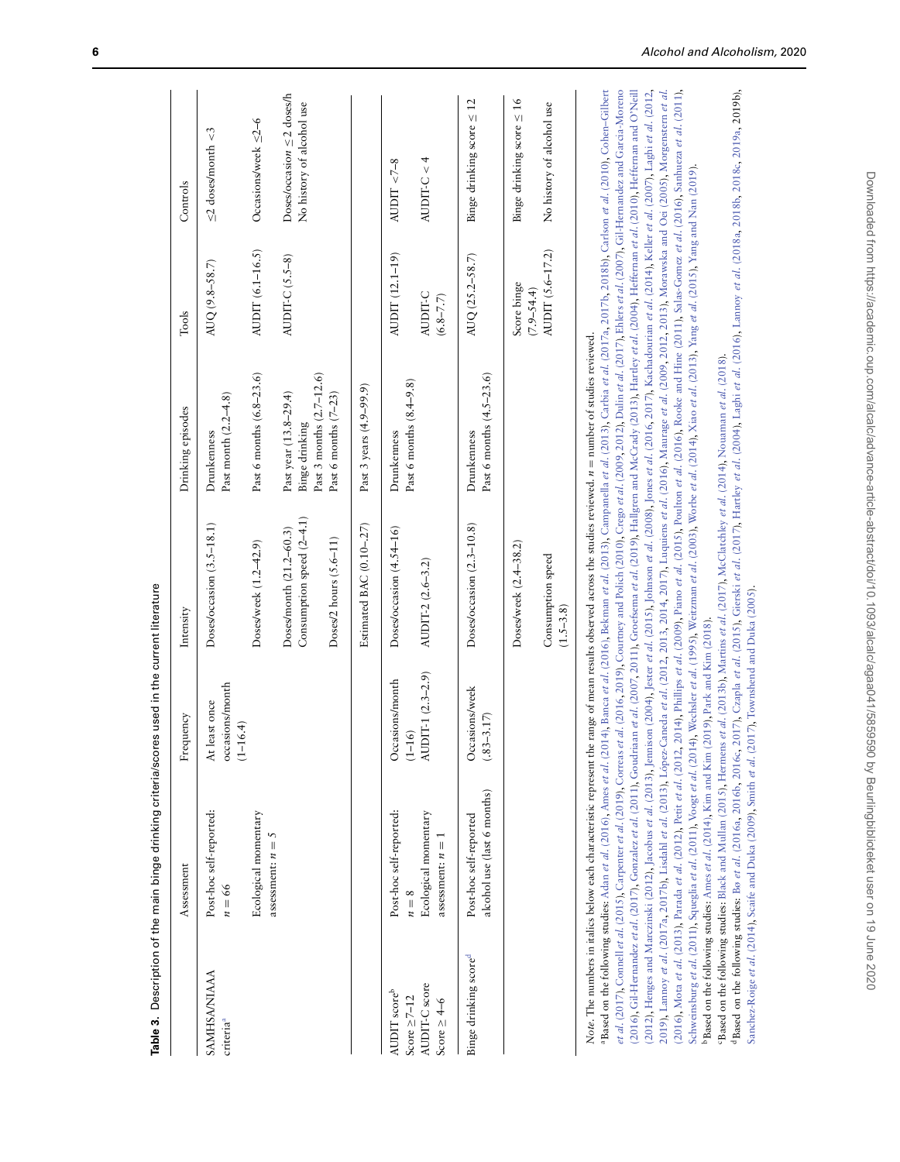<span id="page-6-0"></span>

| Table 3.                                               | Description of the main binge drinking criteria/scon                                                                                                                                                                                                                                                                                                                                                                                                                                                                                                                                                                                                                                                                                                                                                                                                                                                                                                                                                                                                                                                                                                                                                                                                                                                                                                                                                                                                                                                                                                                                                                                                                                                                                                 | es used in the current literature                |                                                                                                                                                                                                                                                                                                                                                                                                                                                               |                                                    |                                    |                                                              |
|--------------------------------------------------------|------------------------------------------------------------------------------------------------------------------------------------------------------------------------------------------------------------------------------------------------------------------------------------------------------------------------------------------------------------------------------------------------------------------------------------------------------------------------------------------------------------------------------------------------------------------------------------------------------------------------------------------------------------------------------------------------------------------------------------------------------------------------------------------------------------------------------------------------------------------------------------------------------------------------------------------------------------------------------------------------------------------------------------------------------------------------------------------------------------------------------------------------------------------------------------------------------------------------------------------------------------------------------------------------------------------------------------------------------------------------------------------------------------------------------------------------------------------------------------------------------------------------------------------------------------------------------------------------------------------------------------------------------------------------------------------------------------------------------------------------------|--------------------------------------------------|---------------------------------------------------------------------------------------------------------------------------------------------------------------------------------------------------------------------------------------------------------------------------------------------------------------------------------------------------------------------------------------------------------------------------------------------------------------|----------------------------------------------------|------------------------------------|--------------------------------------------------------------|
|                                                        | Assessment                                                                                                                                                                                                                                                                                                                                                                                                                                                                                                                                                                                                                                                                                                                                                                                                                                                                                                                                                                                                                                                                                                                                                                                                                                                                                                                                                                                                                                                                                                                                                                                                                                                                                                                                           | Frequency                                        | Intensity                                                                                                                                                                                                                                                                                                                                                                                                                                                     | Drinking episodes                                  | Tools                              | Controls                                                     |
| <b>AMHSA/NIAAA</b><br>criteria <sup>a</sup>            | Post-hoc self-reported:<br>$n = 66$                                                                                                                                                                                                                                                                                                                                                                                                                                                                                                                                                                                                                                                                                                                                                                                                                                                                                                                                                                                                                                                                                                                                                                                                                                                                                                                                                                                                                                                                                                                                                                                                                                                                                                                  | occasions/month<br>At least once<br>$(1 - 16.4)$ | Doses/occasion (3.5-18.1)                                                                                                                                                                                                                                                                                                                                                                                                                                     | Past month (2.2-4.8)<br>Drunkenness                | AUQ (9.8-58.7)                     | $\leq$ 2 doses/month $<$ 3                                   |
|                                                        | Ecological momentary                                                                                                                                                                                                                                                                                                                                                                                                                                                                                                                                                                                                                                                                                                                                                                                                                                                                                                                                                                                                                                                                                                                                                                                                                                                                                                                                                                                                                                                                                                                                                                                                                                                                                                                                 |                                                  | Doses/week (1.2-42.9)                                                                                                                                                                                                                                                                                                                                                                                                                                         | Past 6 months (6.8-23.6)                           | AUDIT (6.1-16.5)                   | Occasions/week $\leq 2-6$                                    |
|                                                        | assessment: $n = 5$                                                                                                                                                                                                                                                                                                                                                                                                                                                                                                                                                                                                                                                                                                                                                                                                                                                                                                                                                                                                                                                                                                                                                                                                                                                                                                                                                                                                                                                                                                                                                                                                                                                                                                                                  |                                                  | Consumption speed (2-4.1)<br>Doses/month (21.2-60.3)                                                                                                                                                                                                                                                                                                                                                                                                          | Past year (13.8-29.4)<br>Binge drinking            | AUDIT-C $(5.5-8)$                  | Doses/occasion $\leq$ 2 doses/h<br>No history of alcohol use |
|                                                        |                                                                                                                                                                                                                                                                                                                                                                                                                                                                                                                                                                                                                                                                                                                                                                                                                                                                                                                                                                                                                                                                                                                                                                                                                                                                                                                                                                                                                                                                                                                                                                                                                                                                                                                                                      |                                                  | Doses/2 hours $(5.6-11)$                                                                                                                                                                                                                                                                                                                                                                                                                                      | Past 3 months (2.7-12.6)<br>Past 6 months $(7-23)$ |                                    |                                                              |
|                                                        |                                                                                                                                                                                                                                                                                                                                                                                                                                                                                                                                                                                                                                                                                                                                                                                                                                                                                                                                                                                                                                                                                                                                                                                                                                                                                                                                                                                                                                                                                                                                                                                                                                                                                                                                                      |                                                  | Estimated BAC (0.10-.27)                                                                                                                                                                                                                                                                                                                                                                                                                                      | Past 3 years (4.9–99.9)                            |                                    |                                                              |
| AUDIT scoreb                                           | Post-hoc self-reported:                                                                                                                                                                                                                                                                                                                                                                                                                                                                                                                                                                                                                                                                                                                                                                                                                                                                                                                                                                                                                                                                                                                                                                                                                                                                                                                                                                                                                                                                                                                                                                                                                                                                                                                              | Occasions/month                                  | Doses/occasion (4.54-16)                                                                                                                                                                                                                                                                                                                                                                                                                                      | Drunkenness                                        | AUDIT (12.1-19)                    | AUDIT < $7-8$                                                |
| AUDIT-C score<br>Score $\geq 7-12$<br>Score $\geq$ 4–6 | Ecological momentary<br>assessment: $n = 1$<br>$n=8$                                                                                                                                                                                                                                                                                                                                                                                                                                                                                                                                                                                                                                                                                                                                                                                                                                                                                                                                                                                                                                                                                                                                                                                                                                                                                                                                                                                                                                                                                                                                                                                                                                                                                                 | AUDIT-1 (2.3-2.9)<br>$(1 - 16)$                  | AUDIT-2 (2.6-3.2)                                                                                                                                                                                                                                                                                                                                                                                                                                             | Past 6 months (8.4–9.8)                            | AUDIT-C<br>$(6.8 - 7.7)$           | $AUDIT-C < 4$                                                |
| Binge drinking score <sup>d</sup>                      | alcohol use (last 6 months)<br>Post-hoc self-reported                                                                                                                                                                                                                                                                                                                                                                                                                                                                                                                                                                                                                                                                                                                                                                                                                                                                                                                                                                                                                                                                                                                                                                                                                                                                                                                                                                                                                                                                                                                                                                                                                                                                                                | Occasions/week<br>$(.83 - 3.17)$                 | Doses/occasion (2.3-10.8)                                                                                                                                                                                                                                                                                                                                                                                                                                     | Past 6 months (4.5-23.6)<br>Drunkenness            | AUQ (25.2-58.7)                    | Binge drinking score $\leq 12$                               |
|                                                        |                                                                                                                                                                                                                                                                                                                                                                                                                                                                                                                                                                                                                                                                                                                                                                                                                                                                                                                                                                                                                                                                                                                                                                                                                                                                                                                                                                                                                                                                                                                                                                                                                                                                                                                                                      |                                                  | Doses/week (2.4–38.2)                                                                                                                                                                                                                                                                                                                                                                                                                                         |                                                    | Score binge                        | Binge drinking score $\leq 16$                               |
|                                                        |                                                                                                                                                                                                                                                                                                                                                                                                                                                                                                                                                                                                                                                                                                                                                                                                                                                                                                                                                                                                                                                                                                                                                                                                                                                                                                                                                                                                                                                                                                                                                                                                                                                                                                                                                      |                                                  | Consumption speed<br>$(1.5 - 3.8)$                                                                                                                                                                                                                                                                                                                                                                                                                            |                                                    | AUDIT (5.6-17.2)<br>$(7.9 - 54.4)$ | No history of alcohol use                                    |
|                                                        | et al. (2017), Connell et al. (2013), Carpenter et al. (2019), Corress et al. (2016, 2019), Courtney and Polich (2010), Crego et al. (2009, 2012), Dulin et al. (2017), Ehlers et al. (2007), Gil-Hernandez and Garcia-Moreno<br>Based on the following studies: Adan et al. (2016), Ames et al. (2014), Banca et al. (2016), Bekman et al. (2013), Campanella et al. (2013), Carbia et al. (2017b, 2018b), Carlson et al. (2010), Cohen-Gilbert<br>2016). Gil-Hernandez et al. (2017), Gonzalez et al. (2011), Goudriaan et al. (2007, 2011), Groefsema et al. (2019). Hallgren and McCrady (2013), Hartley et al. (2004), Hefferman et al. (2010), Hefferman and O'Neill<br>2012), Henges and Marczinski (2012), Jacobus et al. (2013), Jennison (2004), Jester et al. (2015), Johnson et al. (2008), Jones et al. (2015), Joahadourian et al. (2014), Keller et al. (2007), Laghi et al. (2012,<br>Schweinsburg et al. (2011), Squeglia et al. (2011), Voogt et al. (2014), Wechsler et al. (1995), Weitzman et al. (2003), Worbe et al. (2014), Xiao et al. (2013), Yang et al. (2015), Yang and Nan (2019).<br>Note. The numbers in italics below each characteristic represent the range of mean results observed across the studies reviewed. n = number of studies reviewed.<br>"Based on the following studies: Black and Mullan (2015), Hermens et al. (2013b), Martins et al. (2017), McClatchley et al. (2014), Nouaman et al. (2018).<br>2019), Lannoy et al. (2017a, 2017b), Lisdahl et al. (2013), López-<br>2016), Mota et al. (2013), Parada et al. (2012), Petit et al. (2012,<br><sup>d</sup> Based on the following studies: Bø et al. (2016a, 2016b, 2016c,<br>bBased on the following studies: Ames et al. (2014), Kim and Kim | (2019), Park and Kim (2018).                     | 2017), Czapla et al. (2015), Gierski et al. (2017), Hartley et al. (2004), Laghi et al. (2016), Lannoy et al. (2018a, 2018b, 2018c, 2019a, 2019b),<br>Caneda et al. (2012, 2013, 2014, 2017), Luquiens et al. (2016), Maurage et al. (2009, 2012, 2013), Morawska and Oei (2005), Morgenstern et al.<br>,2014), Phillips et al. (2009), Piano et al. (2015), Poulton et al. (2016), Rooke and Hine (2011), Salas-Gomez et al. (2016), Sanhueza et al. (2011), |                                                    |                                    |                                                              |
|                                                        | Sanchez-Roige et al. (2014), Scaife and Duka (2009), Smith et al. (2017), Townshend and Duka (2005)                                                                                                                                                                                                                                                                                                                                                                                                                                                                                                                                                                                                                                                                                                                                                                                                                                                                                                                                                                                                                                                                                                                                                                                                                                                                                                                                                                                                                                                                                                                                                                                                                                                  |                                                  |                                                                                                                                                                                                                                                                                                                                                                                                                                                               |                                                    |                                    |                                                              |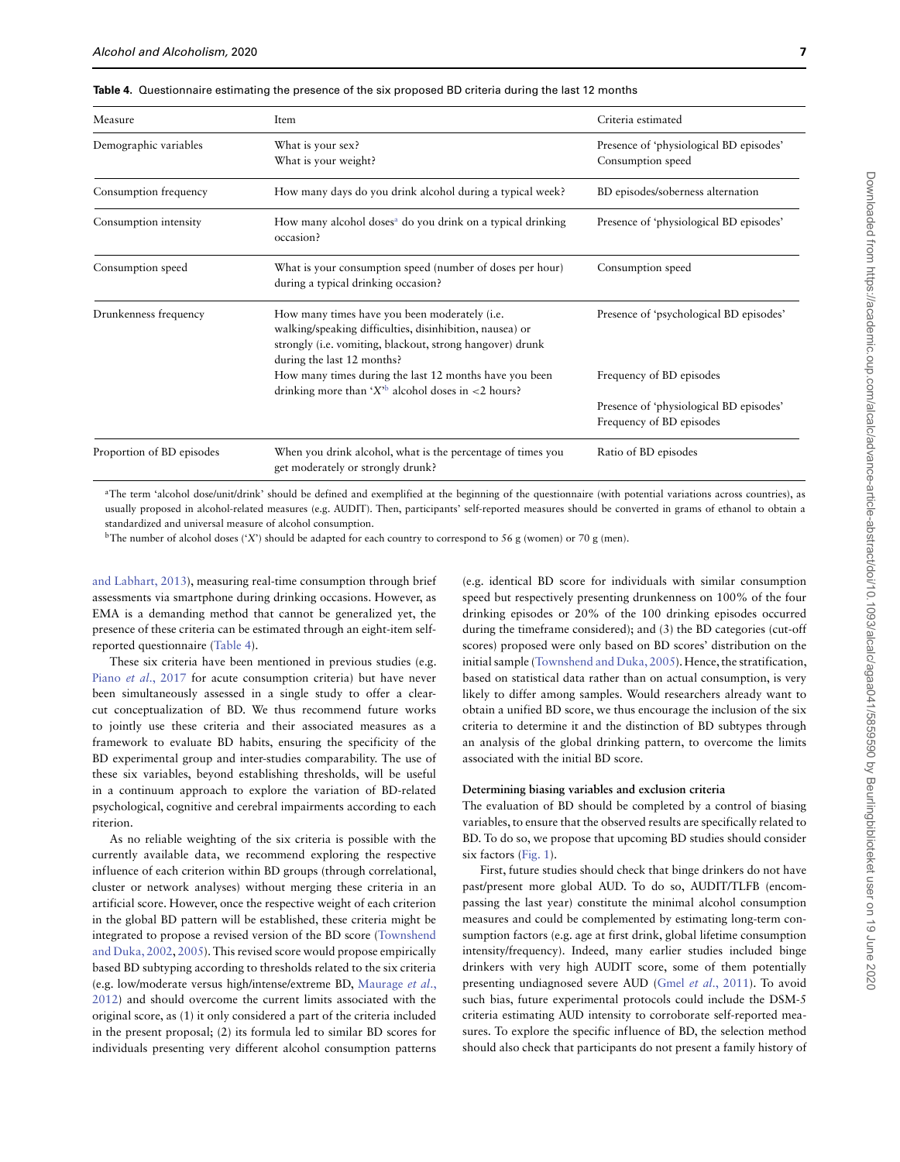<span id="page-7-0"></span>**Table 4.** Questionnaire estimating the presence of the six proposed BD criteria during the last 12 months

| Measure                   | Item                                                                                                                                                                                                         | Criteria estimated                                                  |
|---------------------------|--------------------------------------------------------------------------------------------------------------------------------------------------------------------------------------------------------------|---------------------------------------------------------------------|
| Demographic variables     | What is your sex?<br>What is your weight?                                                                                                                                                                    | Presence of 'physiological BD episodes'<br>Consumption speed        |
| Consumption frequency     | How many days do you drink alcohol during a typical week?                                                                                                                                                    | BD episodes/soberness alternation                                   |
| Consumption intensity     | How many alcohol doses <sup>a</sup> do you drink on a typical drinking<br>occasion?                                                                                                                          | Presence of 'physiological BD episodes'                             |
| Consumption speed         | What is your consumption speed (number of doses per hour)<br>during a typical drinking occasion?                                                                                                             | Consumption speed                                                   |
| Drunkenness frequency     | How many times have you been moderately ( <i>i.e.</i><br>walking/speaking difficulties, disinhibition, nausea) or<br>strongly (i.e. vomiting, blackout, strong hangover) drunk<br>during the last 12 months? | Presence of 'psychological BD episodes'                             |
|                           | How many times during the last 12 months have you been<br>drinking more than ' $X$ <sup>b</sup> alcohol doses in <2 hours?                                                                                   | Frequency of BD episodes                                            |
|                           |                                                                                                                                                                                                              | Presence of 'physiological BD episodes'<br>Frequency of BD episodes |
| Proportion of BD episodes | When you drink alcohol, what is the percentage of times you<br>get moderately or strongly drunk?                                                                                                             | Ratio of BD episodes                                                |

<sup>a</sup>The term 'alcohol dose/unit/drink' should be defined and exemplified at the beginning of the questionnaire (with potential variations across countries), as usually proposed in alcohol-related measures (e.g. AUDIT). Then, participants' self-reported measures should be converted in grams of ethanol to obtain a standardized and universal measure of alcohol consumption.

<sup>b</sup>The number of alcohol doses ('X') should be adapted for each country to correspond to 56 g (women) or 70 g (men).

[and Labhart, 2013\)](#page-10-8), measuring real-time consumption through brief assessments via smartphone during drinking occasions. However, as EMA is a demanding method that cannot be generalized yet, the presence of these criteria can be estimated through an eight-item selfreported questionnaire [\(Table 4\)](#page-7-0).

These six criteria have been mentioned in previous studies (e.g. Piano et al[., 2017](#page-11-31) for acute consumption criteria) but have never been simultaneously assessed in a single study to offer a clearcut conceptualization of BD. We thus recommend future works to jointly use these criteria and their associated measures as a framework to evaluate BD habits, ensuring the specificity of the BD experimental group and inter-studies comparability. The use of these six variables, beyond establishing thresholds, will be useful in a continuum approach to explore the variation of BD-related psychological, cognitive and cerebral impairments according to each riterion.

As no reliable weighting of the six criteria is possible with the currently available data, we recommend exploring the respective influence of each criterion within BD groups (through correlational, cluster or network analyses) without merging these criteria in an artificial score. However, once the respective weight of each criterion in the global BD pattern will be established, these criteria might be [integrated to propose a revised version of the BD score \(Townshend](#page-12-3) and Duka, 2002, [2005\)](#page-12-5). This revised score would propose empirically based BD subtyping according to thresholds related to the six criteria (e.g. low/moderate versus high/intense/extreme BD, Maurage et al., [2012\) and should overcome the current limits associated with the](#page-11-12) original score, as (1) it only considered a part of the criteria included in the present proposal; (2) its formula led to similar BD scores for individuals presenting very different alcohol consumption patterns

(e.g. identical BD score for individuals with similar consumption speed but respectively presenting drunkenness on 100% of the four drinking episodes or 20% of the 100 drinking episodes occurred during the timeframe considered); and (3) the BD categories (cut-off scores) proposed were only based on BD scores' distribution on the initial sample [\(Townshend and Duka, 2005\)](#page-12-5). Hence, the stratification, based on statistical data rather than on actual consumption, is very likely to differ among samples. Would researchers already want to obtain a unified BD score, we thus encourage the inclusion of the six criteria to determine it and the distinction of BD subtypes through an analysis of the global drinking pattern, to overcome the limits associated with the initial BD score.

#### **Determining biasing variables and exclusion criteria**

The evaluation of BD should be completed by a control of biasing variables, to ensure that the observed results are specifically related to BD. To do so, we propose that upcoming BD studies should consider six factors [\(Fig. 1\)](#page-5-1).

First, future studies should check that binge drinkers do not have past/present more global AUD. To do so, AUDIT/TLFB (encompassing the last year) constitute the minimal alcohol consumption measures and could be complemented by estimating long-term consumption factors (e.g. age at first drink, global lifetime consumption intensity/frequency). Indeed, many earlier studies included binge drinkers with very high AUDIT score, some of them potentially presenting undiagnosed severe AUD (Gmel et al[., 2011\)](#page-10-33). To avoid such bias, future experimental protocols could include the DSM-5 criteria estimating AUD intensity to corroborate self-reported measures. To explore the specific influence of BD, the selection method should also check that participants do not present a family history of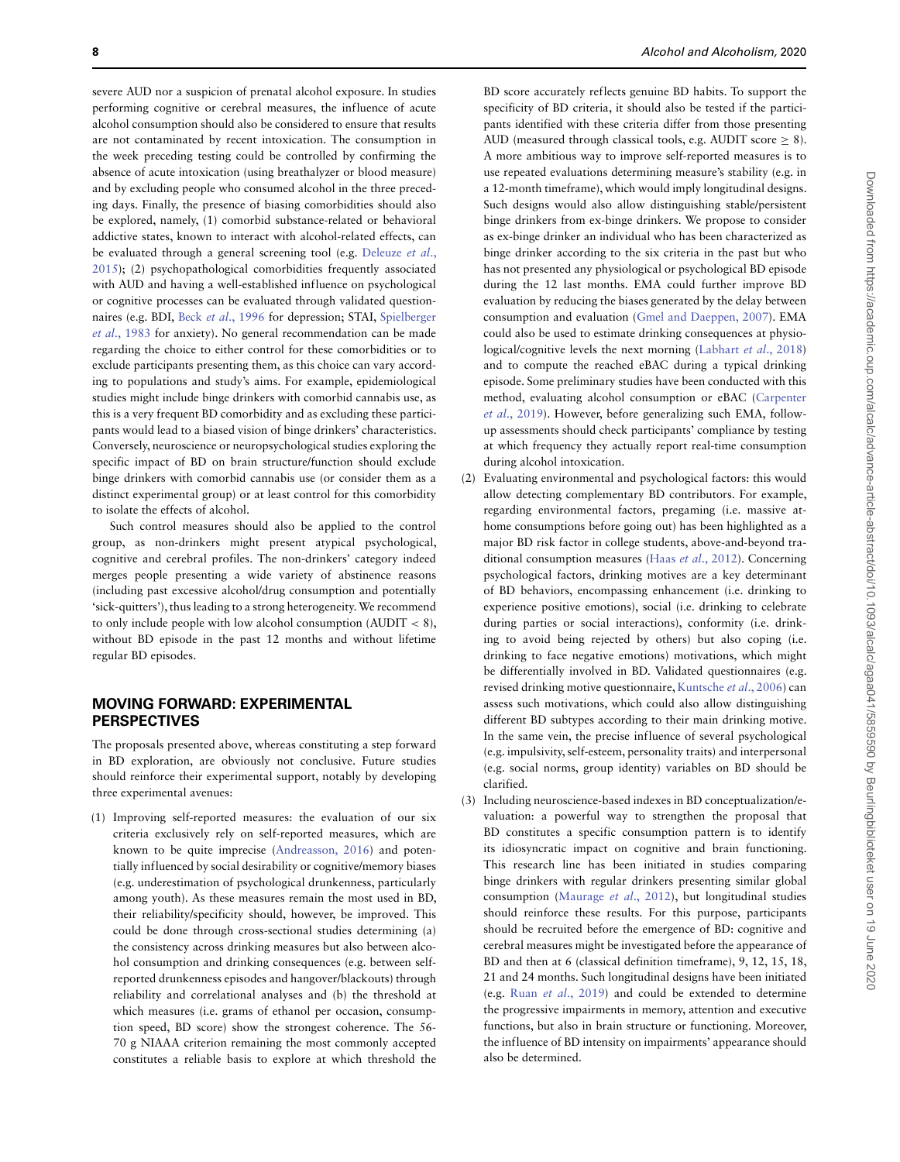severe AUD nor a suspicion of prenatal alcohol exposure. In studies performing cognitive or cerebral measures, the influence of acute alcohol consumption should also be considered to ensure that results are not contaminated by recent intoxication. The consumption in the week preceding testing could be controlled by confirming the absence of acute intoxication (using breathalyzer or blood measure) and by excluding people who consumed alcohol in the three preceding days. Finally, the presence of biasing comorbidities should also be explored, namely, (1) comorbid substance-related or behavioral addictive states, known to interact with alcohol-related effects, can be evaluated through a general screening tool (e.g. Deleuze et al., [2015\); \(2\) psychopathological comorbidities frequently associated](#page-10-34) with AUD and having a well-established influence on psychological or cognitive processes can be evaluated through validated questionnaires (e.g. BDI, Beck et al[., 1996](#page-9-29) for depression; STAI, Spielberger et al., 1983 [for anxiety\). No general recommendation can be made](#page-11-32) regarding the choice to either control for these comorbidities or to exclude participants presenting them, as this choice can vary according to populations and study's aims. For example, epidemiological studies might include binge drinkers with comorbid cannabis use, as this is a very frequent BD comorbidity and as excluding these participants would lead to a biased vision of binge drinkers' characteristics. Conversely, neuroscience or neuropsychological studies exploring the specific impact of BD on brain structure/function should exclude binge drinkers with comorbid cannabis use (or consider them as a distinct experimental group) or at least control for this comorbidity to isolate the effects of alcohol.

Such control measures should also be applied to the control group, as non-drinkers might present atypical psychological, cognitive and cerebral profiles. The non-drinkers' category indeed merges people presenting a wide variety of abstinence reasons (including past excessive alcohol/drug consumption and potentially 'sick-quitters'), thus leading to a strong heterogeneity.We recommend to only include people with low alcohol consumption (AUDIT *<* 8), without BD episode in the past 12 months and without lifetime regular BD episodes.

# **MOVING FORWARD: EXPERIMENTAL PERSPECTIVES**

The proposals presented above, whereas constituting a step forward in BD exploration, are obviously not conclusive. Future studies should reinforce their experimental support, notably by developing three experimental avenues:

(1) Improving self-reported measures: the evaluation of our six criteria exclusively rely on self-reported measures, which are known to be quite imprecise [\(Andreasson, 2016\)](#page-9-5) and potentially influenced by social desirability or cognitive/memory biases (e.g. underestimation of psychological drunkenness, particularly among youth). As these measures remain the most used in BD, their reliability/specificity should, however, be improved. This could be done through cross-sectional studies determining (a) the consistency across drinking measures but also between alcohol consumption and drinking consequences (e.g. between selfreported drunkenness episodes and hangover/blackouts) through reliability and correlational analyses and (b) the threshold at which measures (i.e. grams of ethanol per occasion, consumption speed, BD score) show the strongest coherence. The 56- 70 g NIAAA criterion remaining the most commonly accepted constitutes a reliable basis to explore at which threshold the

BD score accurately reflects genuine BD habits. To support the specificity of BD criteria, it should also be tested if the participants identified with these criteria differ from those presenting AUD (measured through classical tools, e.g. AUDIT score  $\geq 8$ ). A more ambitious way to improve self-reported measures is to use repeated evaluations determining measure's stability (e.g. in a 12-month timeframe), which would imply longitudinal designs. Such designs would also allow distinguishing stable/persistent binge drinkers from ex-binge drinkers. We propose to consider as ex-binge drinker an individual who has been characterized as binge drinker according to the six criteria in the past but who has not presented any physiological or psychological BD episode during the 12 last months. EMA could further improve BD evaluation by reducing the biases generated by the delay between consumption and evaluation [\(Gmel and Daeppen, 2007\)](#page-10-7). EMA could also be used to estimate drinking consequences at physiological/cognitive levels the next morning [\(Labhart](#page-10-6) et al., 2018) and to compute the reached eBAC during a typical drinking episode. Some preliminary studies have been conducted with this [method, evaluating alcohol consumption or eBAC \(Carpenter](#page-9-18) et al., 2019). However, before generalizing such EMA, followup assessments should check participants' compliance by testing at which frequency they actually report real-time consumption during alcohol intoxication.

- (2) Evaluating environmental and psychological factors: this would allow detecting complementary BD contributors. For example, regarding environmental factors, pregaming (i.e. massive athome consumptions before going out) has been highlighted as a major BD risk factor in college students, above-and-beyond traditional consumption measures (Haas et al[., 2012\)](#page-10-35). Concerning psychological factors, drinking motives are a key determinant of BD behaviors, encompassing enhancement (i.e. drinking to experience positive emotions), social (i.e. drinking to celebrate during parties or social interactions), conformity (i.e. drinking to avoid being rejected by others) but also coping (i.e. drinking to face negative emotions) motivations, which might be differentially involved in BD. Validated questionnaires (e.g. revised drinking motive questionnaire, [Kuntsche](#page-10-36) et al., 2006) can assess such motivations, which could also allow distinguishing different BD subtypes according to their main drinking motive. In the same vein, the precise influence of several psychological (e.g. impulsivity, self-esteem, personality traits) and interpersonal (e.g. social norms, group identity) variables on BD should be clarified.
- (3) Including neuroscience-based indexes in BD conceptualization/evaluation: a powerful way to strengthen the proposal that BD constitutes a specific consumption pattern is to identify its idiosyncratic impact on cognitive and brain functioning. This research line has been initiated in studies comparing binge drinkers with regular drinkers presenting similar global consumption [\(Maurage](#page-11-12) et al., 2012), but longitudinal studies should reinforce these results. For this purpose, participants should be recruited before the emergence of BD: cognitive and cerebral measures might be investigated before the appearance of BD and then at 6 (classical definition timeframe), 9, 12, 15, 18, 21 and 24 months. Such longitudinal designs have been initiated (e.g. Ruan et al[., 2019\)](#page-11-33) and could be extended to determine the progressive impairments in memory, attention and executive functions, but also in brain structure or functioning. Moreover, the influence of BD intensity on impairments' appearance should also be determined.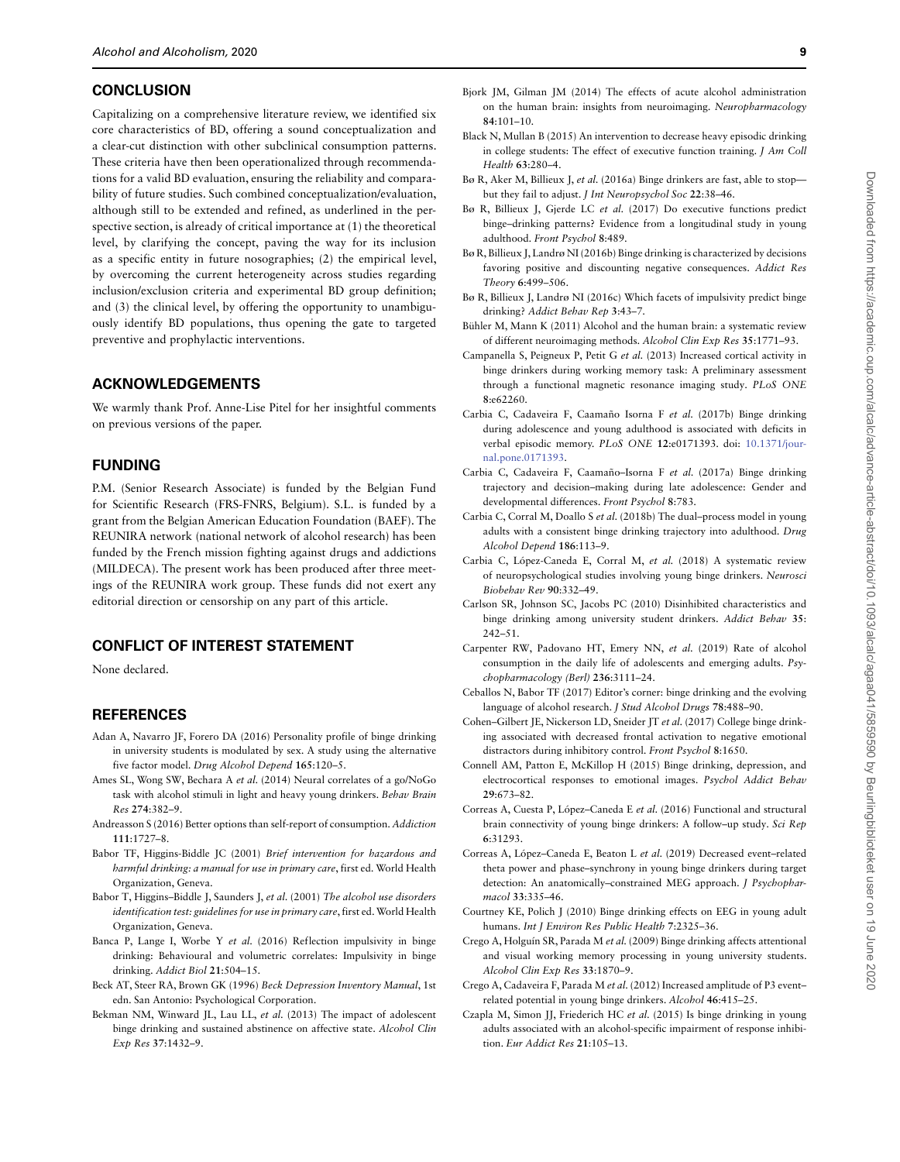#### **CONCLUSION**

Capitalizing on a comprehensive literature review, we identified six core characteristics of BD, offering a sound conceptualization and a clear-cut distinction with other subclinical consumption patterns. These criteria have then been operationalized through recommendations for a valid BD evaluation, ensuring the reliability and comparability of future studies. Such combined conceptualization/evaluation, although still to be extended and refined, as underlined in the perspective section, is already of critical importance at (1) the theoretical level, by clarifying the concept, paving the way for its inclusion as a specific entity in future nosographies; (2) the empirical level, by overcoming the current heterogeneity across studies regarding inclusion/exclusion criteria and experimental BD group definition; and (3) the clinical level, by offering the opportunity to unambiguously identify BD populations, thus opening the gate to targeted preventive and prophylactic interventions.

# **ACKNOWLEDGEMENTS**

We warmly thank Prof. Anne-Lise Pitel for her insightful comments on previous versions of the paper.

# **FUNDING**

P.M. (Senior Research Associate) is funded by the Belgian Fund for Scientific Research (FRS-FNRS, Belgium). S.L. is funded by a grant from the Belgian American Education Foundation (BAEF). The REUNIRA network (national network of alcohol research) has been funded by the French mission fighting against drugs and addictions (MILDECA). The present work has been produced after three meetings of the REUNIRA work group. These funds did not exert any editorial direction or censorship on any part of this article.

#### **CONFLICT OF INTEREST STATEMENT**

None declared.

#### **REFERENCES**

- <span id="page-9-8"></span>Adan A, Navarro JF, Forero DA (2016) Personality profile of binge drinking in university students is modulated by sex. A study using the alternative five factor model. Drug Alcohol Depend **165**:120–5.
- <span id="page-9-9"></span>Ames SL, Wong SW, Bechara A et al. (2014) Neural correlates of a go/NoGo task with alcohol stimuli in light and heavy young drinkers. Behav Brain Res **274**:382–9.
- <span id="page-9-5"></span>Andreasson S (2016) Better options than self-report of consumption. Addiction **111**:1727–8.
- <span id="page-9-6"></span>Babor TF, Higgins-Biddle JC (2001) Brief intervention for hazardous and harmful drinking: a manual for use in primary care, first ed. World Health Organization, Geneva.
- <span id="page-9-7"></span>Babor T, Higgins–Biddle J, Saunders J, et al. (2001) The alcohol use disorders identification test: guidelines for use in primary care, first ed.World Health Organization, Geneva.
- Banca P, Lange I, Worbe Y et al. (2016) Reflection impulsivity in binge drinking: Behavioural and volumetric correlates: Impulsivity in binge drinking. Addict Biol **21**:504–15.
- <span id="page-9-29"></span>Beck AT, Steer RA, Brown GK (1996) Beck Depression Inventory Manual, 1st edn. San Antonio: Psychological Corporation.
- <span id="page-9-11"></span>Bekman NM, Winward JL, Lau LL, et al. (2013) The impact of adolescent binge drinking and sustained abstinence on affective state. Alcohol Clin Exp Res **37**:1432–9.
- <span id="page-9-0"></span>Bjork JM, Gilman JM (2014) The effects of acute alcohol administration on the human brain: insights from neuroimaging. Neuropharmacology **84**:101–10.
- <span id="page-9-24"></span>Black N, Mullan B (2015) An intervention to decrease heavy episodic drinking in college students: The effect of executive function training. J Am Coll Health **63**:280–4.
- <span id="page-9-4"></span>Bø R, Aker M, Billieux J, et al. (2016a) Binge drinkers are fast, able to stopbut they fail to adjust. J Int Neuropsychol Soc **22**:38–46.
- <span id="page-9-27"></span>Bø R, Billieux J, Gjerde LC et al. (2017) Do executive functions predict binge–drinking patterns? Evidence from a longitudinal study in young adulthood. Front Psychol **8**:489.
- <span id="page-9-25"></span>Bø R, Billieux J, Landrø NI (2016b) Binge drinking is characterized by decisions favoring positive and discounting negative consequences. Addict Res Theory **6**:499–506.
- <span id="page-9-26"></span>Bø R, Billieux J, Landrø NI (2016c) Which facets of impulsivity predict binge drinking? Addict Behav Rep **3**:43–7.
- <span id="page-9-1"></span>Bühler M, Mann K (2011) Alcohol and the human brain: a systematic review of different neuroimaging methods. Alcohol Clin Exp Res **35**:1771–93.
- <span id="page-9-12"></span>Campanella S, Peigneux P, Petit G et al. (2013) Increased cortical activity in binge drinkers during working memory task: A preliminary assessment through a functional magnetic resonance imaging study. PLoS ONE **8**:e62260.
- <span id="page-9-13"></span>Carbia C, Cadaveira F, Caamaño Isorna F et al. (2017b) Binge drinking during adolescence and young adulthood is associated with deficits in [verbal episodic memory.](https://doi.org/10.1371/journal.pone.0171393) PLoS ONE **12**:e0171393. doi: 10.1371/journal.pone.0171393.
- <span id="page-9-10"></span>Carbia C, Cadaveira F, Caamaño–Isorna F et al. (2017a) Binge drinking trajectory and decision–making during late adolescence: Gender and developmental differences. Front Psychol **8**:783.
- <span id="page-9-14"></span>Carbia C, Corral M, Doallo S et al. (2018b) The dual–process model in young adults with a consistent binge drinking trajectory into adulthood. Drug Alcohol Depend **186**:113–9.
- <span id="page-9-3"></span>Carbia C, López-Caneda E, Corral M, et al. (2018) A systematic review of neuropsychological studies involving young binge drinkers. Neurosci Biobehav Rev **90**:332–49.
- <span id="page-9-15"></span>Carlson SR, Johnson SC, Jacobs PC (2010) Disinhibited characteristics and binge drinking among university student drinkers. Addict Behav **35**: 242–51.
- <span id="page-9-18"></span>Carpenter RW, Padovano HT, Emery NN, et al. (2019) Rate of alcohol consumption in the daily life of adolescents and emerging adults. Psychopharmacology (Berl) **236**:3111–24.
- <span id="page-9-2"></span>Ceballos N, Babor TF (2017) Editor's corner: binge drinking and the evolving language of alcohol research. J Stud Alcohol Drugs **78**:488–90.
- <span id="page-9-16"></span>Cohen–Gilbert JE, Nickerson LD, Sneider JT et al. (2017) College binge drinking associated with decreased frontal activation to negative emotional distractors during inhibitory control. Front Psychol **8**:1650.
- <span id="page-9-17"></span>Connell AM, Patton E, McKillop H (2015) Binge drinking, depression, and electrocortical responses to emotional images. Psychol Addict Behav **29**:673–82.
- <span id="page-9-19"></span>Correas A, Cuesta P, López–Caneda E et al. (2016) Functional and structural brain connectivity of young binge drinkers: A follow–up study. Sci Rep **6**:31293.
- <span id="page-9-20"></span>Correas A, López–Caneda E, Beaton L et al. (2019) Decreased event–related theta power and phase–synchrony in young binge drinkers during target detection: An anatomically-constrained MEG approach. J Psychopharmacol **33**:335–46.
- <span id="page-9-21"></span>Courtney KE, Polich J (2010) Binge drinking effects on EEG in young adult humans. Int J Environ Res Public Health **7**:2325–36.
- <span id="page-9-22"></span>Crego A, Holguín SR, Parada M et al. (2009) Binge drinking affects attentional and visual working memory processing in young university students. Alcohol Clin Exp Res **33**:1870–9.
- <span id="page-9-23"></span>Crego A, Cadaveira F, Parada M et al. (2012) Increased amplitude of P3 event– related potential in young binge drinkers. Alcohol **46**:415–25.
- <span id="page-9-28"></span>Czapla M, Simon JJ, Friederich HC et al. (2015) Is binge drinking in young adults associated with an alcohol-specific impairment of response inhibition. Eur Addict Res **21**:105–13.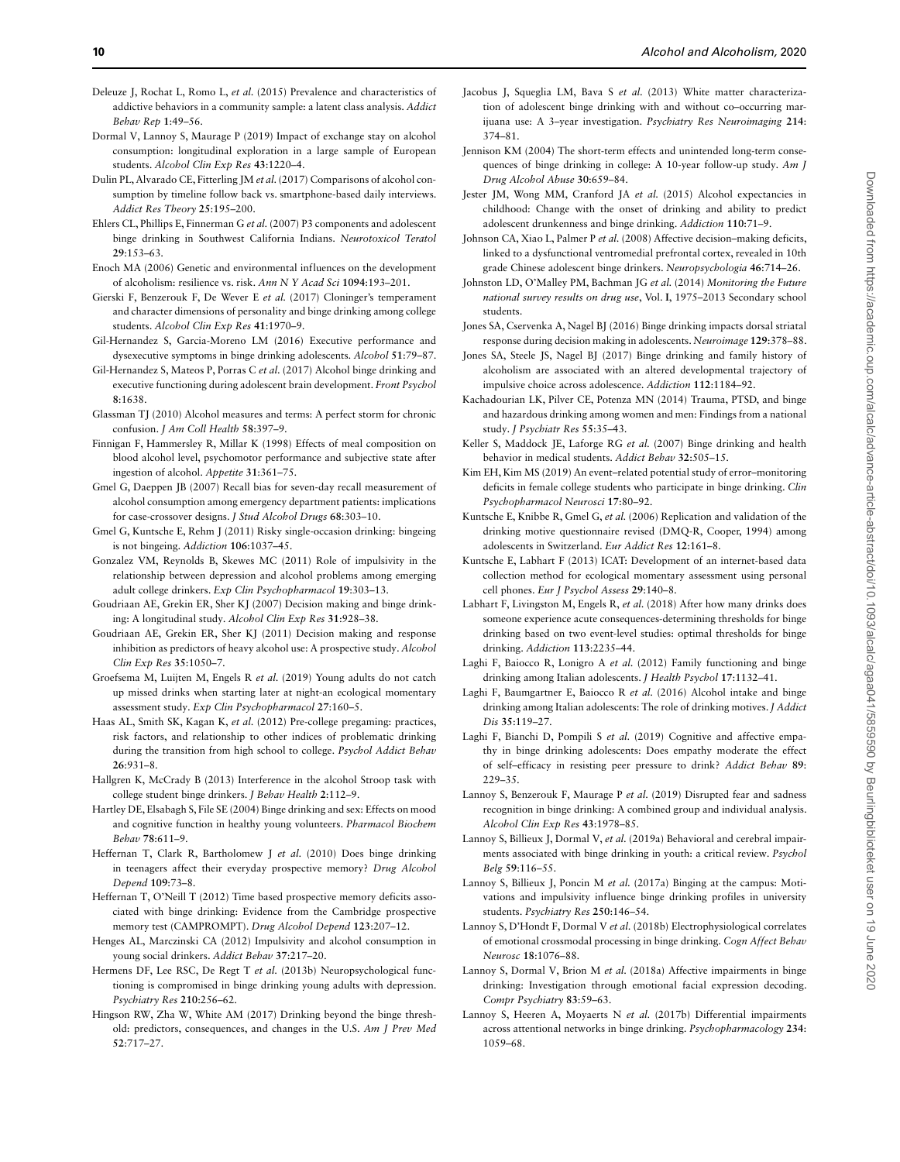- <span id="page-10-34"></span>Deleuze J, Rochat L, Romo L, et al. (2015) Prevalence and characteristics of addictive behaviors in a community sample: a latent class analysis. Addict Behav Rep **1**:49–56.
- <span id="page-10-1"></span>Dormal V, Lannoy S, Maurage P (2019) Impact of exchange stay on alcohol consumption: longitudinal exploration in a large sample of European students. Alcohol Clin Exp Res **43**:1220–4.
- <span id="page-10-9"></span>Dulin PL, Alvarado CE, Fitterling JM et al.(2017) Comparisons of alcohol consumption by timeline follow back vs. smartphone-based daily interviews. Addict Res Theory **25**:195–200.
- <span id="page-10-10"></span>Ehlers CL, Phillips E, Finnerman G et al. (2007) P3 components and adolescent binge drinking in Southwest California Indians. Neurotoxicol Teratol **29**:153–63.
- <span id="page-10-2"></span>Enoch MA (2006) Genetic and environmental influences on the development of alcoholism: resilience vs. risk. Ann N Y Acad Sci **1094**:193–201.
- <span id="page-10-32"></span>Gierski F, Benzerouk F, De Wever E et al. (2017) Cloninger's temperament and character dimensions of personality and binge drinking among college students. Alcohol Clin Exp Res **41**:1970–9.
- <span id="page-10-11"></span>Gil-Hernandez S, Garcia-Moreno LM (2016) Executive performance and dysexecutive symptoms in binge drinking adolescents. Alcohol **51**:79–87.
- <span id="page-10-12"></span>Gil-Hernandez S, Mateos P, Porras C et al. (2017) Alcohol binge drinking and executive functioning during adolescent brain development. Front Psychol **8**:1638.
- Glassman TJ (2010) Alcohol measures and terms: A perfect storm for chronic confusion. J Am Coll Health **58**:397–9.
- <span id="page-10-5"></span>Finnigan F, Hammersley R, Millar K (1998) Effects of meal composition on blood alcohol level, psychomotor performance and subjective state after ingestion of alcohol. Appetite **31**:361–75.
- <span id="page-10-7"></span>Gmel G, Daeppen JB (2007) Recall bias for seven-day recall measurement of alcohol consumption among emergency department patients: implications for case-crossover designs. J Stud Alcohol Drugs **68**:303–10.
- <span id="page-10-33"></span>Gmel G, Kuntsche E, Rehm J (2011) Risky single-occasion drinking: bingeing is not bingeing. Addiction **106**:1037–45.
- <span id="page-10-13"></span>Gonzalez VM, Reynolds B, Skewes MC (2011) Role of impulsivity in the relationship between depression and alcohol problems among emerging adult college drinkers. Exp Clin Psychopharmacol **19**:303–13.
- <span id="page-10-14"></span>Goudriaan AE, Grekin ER, Sher KJ (2007) Decision making and binge drinking: A longitudinal study. Alcohol Clin Exp Res **31**:928–38.
- <span id="page-10-15"></span>Goudriaan AE, Grekin ER, Sher KJ (2011) Decision making and response inhibition as predictors of heavy alcohol use: A prospective study. Alcohol Clin Exp Res **35**:1050–7.
- <span id="page-10-16"></span>Groefsema M, Luijten M, Engels R et al. (2019) Young adults do not catch up missed drinks when starting later at night-an ecological momentary assessment study. Exp Clin Psychopharmacol **27**:160–5.
- <span id="page-10-35"></span>Haas AL, Smith SK, Kagan K, et al. (2012) Pre-college pregaming: practices, risk factors, and relationship to other indices of problematic drinking during the transition from high school to college. Psychol Addict Behav **26**:931–8.
- <span id="page-10-17"></span>Hallgren K, McCrady B (2013) Interference in the alcohol Stroop task with college student binge drinkers. J Behav Health **2**:112–9.
- <span id="page-10-18"></span>Hartley DE, Elsabagh S, File SE (2004) Binge drinking and sex: Effects on mood and cognitive function in healthy young volunteers. Pharmacol Biochem Behav **78**:611–9.
- <span id="page-10-19"></span>Heffernan T, Clark R, Bartholomew J et al. (2010) Does binge drinking in teenagers affect their everyday prospective memory? Drug Alcohol Depend **109**:73–8.
- <span id="page-10-20"></span>Heffernan T, O'Neill T (2012) Time based prospective memory deficits associated with binge drinking: Evidence from the Cambridge prospective memory test (CAMPROMPT). Drug Alcohol Depend **123**:207–12.
- <span id="page-10-21"></span>Henges AL, Marczinski CA (2012) Impulsivity and alcohol consumption in young social drinkers. Addict Behav **37**:217–20.
- <span id="page-10-31"></span>Hermens DF, Lee RSC, De Regt T et al. (2013b) Neuropsychological functioning is compromised in binge drinking young adults with depression. Psychiatry Res **210**:256–62.
- <span id="page-10-4"></span>Hingson RW, Zha W, White AM (2017) Drinking beyond the binge threshold: predictors, consequences, and changes in the U.S. Am J Prev Med **52**:717–27.
- <span id="page-10-22"></span>Jacobus J, Squeglia LM, Bava S et al. (2013) White matter characterization of adolescent binge drinking with and without co–occurring marijuana use: A 3–year investigation. Psychiatry Res Neuroimaging **214**: 374–81.
- <span id="page-10-23"></span>Jennison KM (2004) The short-term effects and unintended long-term consequences of binge drinking in college: A 10-year follow-up study. Am J Drug Alcohol Abuse **30**:659–84.
- <span id="page-10-24"></span>Jester JM, Wong MM, Cranford JA et al. (2015) Alcohol expectancies in childhood: Change with the onset of drinking and ability to predict adolescent drunkenness and binge drinking. Addiction **110**:71–9.
- <span id="page-10-25"></span>Johnson CA, Xiao L, Palmer P et al. (2008) Affective decision–making deficits, linked to a dysfunctional ventromedial prefrontal cortex, revealed in 10th grade Chinese adolescent binge drinkers. Neuropsychologia **46**:714–26.
- <span id="page-10-3"></span>Johnston LD, O'Malley PM, Bachman JG et al. (2014) Monitoring the Future national survey results on drug use, Vol. **I**, 1975–2013 Secondary school students.
- <span id="page-10-26"></span>Jones SA, Cservenka A, Nagel BJ (2016) Binge drinking impacts dorsal striatal response during decision making in adolescents. Neuroimage **129**:378–88.
- <span id="page-10-27"></span>Jones SA, Steele JS, Nagel BJ (2017) Binge drinking and family history of alcoholism are associated with an altered developmental trajectory of impulsive choice across adolescence. Addiction **112**:1184–92.
- <span id="page-10-28"></span>Kachadourian LK, Pilver CE, Potenza MN (2014) Trauma, PTSD, and binge and hazardous drinking among women and men: Findings from a national study. J Psychiatr Res **55**:35–43.
- <span id="page-10-29"></span>Keller S, Maddock JE, Laforge RG et al. (2007) Binge drinking and health behavior in medical students. Addict Behav **32**:505–15.
- <span id="page-10-30"></span>Kim EH, Kim MS (2019) An event–related potential study of error–monitoring deficits in female college students who participate in binge drinking. Clin Psychopharmacol Neurosci **17**:80–92.
- <span id="page-10-36"></span>Kuntsche E, Knibbe R, Gmel G, et al. (2006) Replication and validation of the drinking motive questionnaire revised (DMQ-R, Cooper, 1994) among adolescents in Switzerland. Eur Addict Res **12**:161–8.
- <span id="page-10-8"></span>Kuntsche E, Labhart F (2013) ICAT: Development of an internet-based data collection method for ecological momentary assessment using personal cell phones. Eur J Psychol Assess **29**:140–8.
- <span id="page-10-6"></span>Labhart F, Livingston M, Engels R, et al. (2018) After how many drinks does someone experience acute consequences-determining thresholds for binge drinking based on two event-level studies: optimal thresholds for binge drinking. Addiction **113**:2235–44.
- Laghi F, Baiocco R, Lonigro A et al. (2012) Family functioning and binge drinking among Italian adolescents. J Health Psychol **17**:1132–41.
- Laghi F, Baumgartner E, Baiocco R et al. (2016) Alcohol intake and binge drinking among Italian adolescents: The role of drinking motives. J Addict Dis **35**:119–27.
- Laghi F, Bianchi D, Pompili S et al. (2019) Cognitive and affective empathy in binge drinking adolescents: Does empathy moderate the effect of self–efficacy in resisting peer pressure to drink? Addict Behav **89**: 229–35.
- Lannoy S, Benzerouk F, Maurage P et al. (2019) Disrupted fear and sadness recognition in binge drinking: A combined group and individual analysis. Alcohol Clin Exp Res **43**:1978–85.
- <span id="page-10-0"></span>Lannoy S, Billieux J, Dormal V, et al. (2019a) Behavioral and cerebral impairments associated with binge drinking in youth: a critical review. Psychol Belg **59**:116–55.
- Lannoy S, Billieux J, Poncin M et al. (2017a) Binging at the campus: Motivations and impulsivity influence binge drinking profiles in university students. Psychiatry Res **250**:146–54.
- Lannoy S, D'Hondt F, Dormal V et al. (2018b) Electrophysiological correlates of emotional crossmodal processing in binge drinking. Cogn Affect Behav Neurosc **18**:1076–88.
- Lannoy S, Dormal V, Brion M et al. (2018a) Affective impairments in binge drinking: Investigation through emotional facial expression decoding. Compr Psychiatry **83**:59–63.
- Lannoy S, Heeren A, Moyaerts N et al. (2017b) Differential impairments across attentional networks in binge drinking. Psychopharmacology **234**: 1059–68.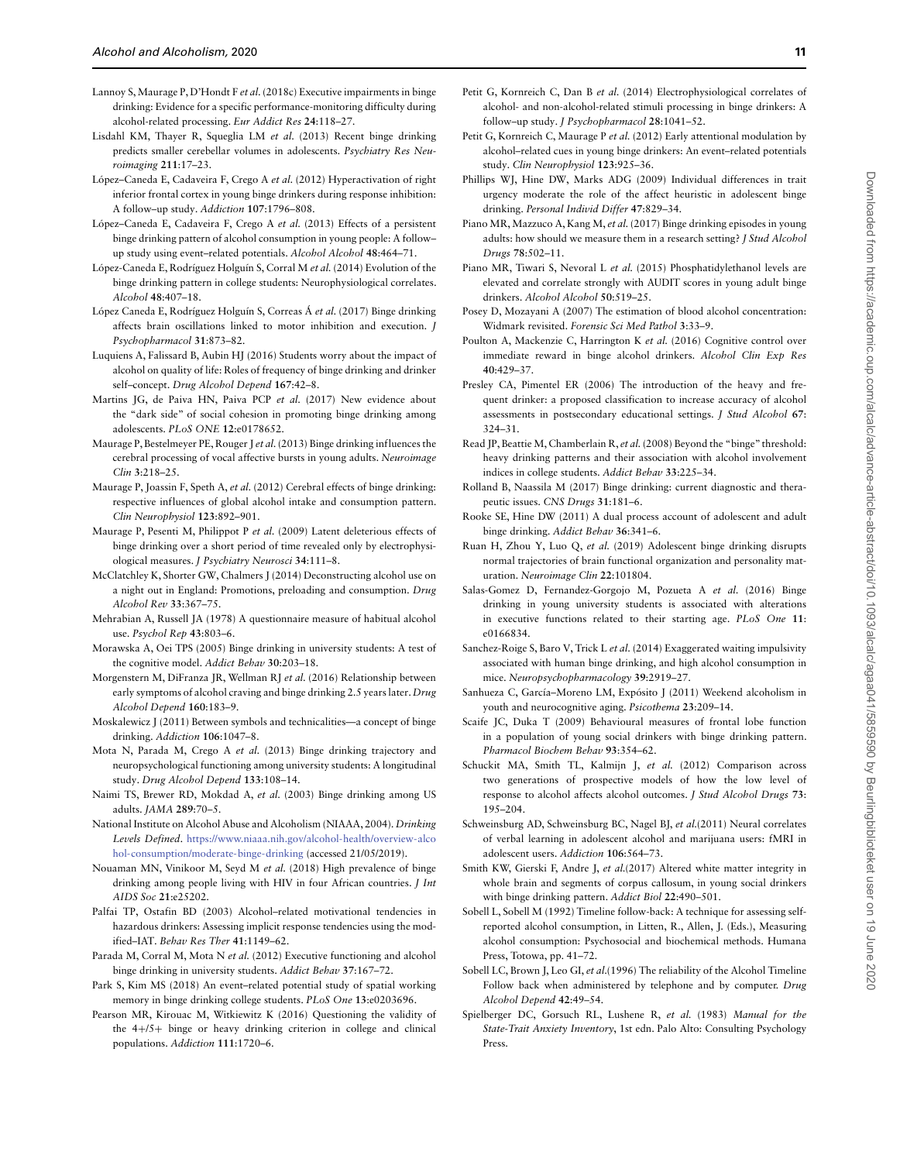- Lannoy S,Maurage P, D'Hondt F et al.(2018c) Executive impairments in binge drinking: Evidence for a specific performance-monitoring difficulty during alcohol-related processing. Eur Addict Res **24**:118–27.
- Lisdahl KM, Thayer R, Squeglia LM et al. (2013) Recent binge drinking predicts smaller cerebellar volumes in adolescents. Psychiatry Res Neuroimaging **211**:17–23.
- López–Caneda E, Cadaveira F, Crego A et al. (2012) Hyperactivation of right inferior frontal cortex in young binge drinkers during response inhibition: A follow–up study. Addiction **107**:1796–808.
- López–Caneda E, Cadaveira F, Crego A et al. (2013) Effects of a persistent binge drinking pattern of alcohol consumption in young people: A follow– up study using event–related potentials. Alcohol Alcohol **48**:464–71.
- López-Caneda E, Rodríguez Holguín S, Corral M et al. (2014) Evolution of the binge drinking pattern in college students: Neurophysiological correlates. Alcohol **48**:407–18.
- López Caneda E, Rodríguez Holguín S, Correas Á et al. (2017) Binge drinking affects brain oscillations linked to motor inhibition and execution. J Psychopharmacol **31**:873–82.
- Luquiens A, Falissard B, Aubin HJ (2016) Students worry about the impact of alcohol on quality of life: Roles of frequency of binge drinking and drinker self–concept. Drug Alcohol Depend **167**:42–8.
- Martins JG, de Paiva HN, Paiva PCP et al. (2017) New evidence about the "dark side" of social cohesion in promoting binge drinking among adolescents. PLoS ONE **12**:e0178652.
- Maurage P, Bestelmeyer PE, Rouger J et al.(2013) Binge drinking influences the cerebral processing of vocal affective bursts in young adults. Neuroimage Clin **3**:218–25.
- <span id="page-11-12"></span>Maurage P, Joassin F, Speth A, et al. (2012) Cerebral effects of binge drinking: respective influences of global alcohol intake and consumption pattern. Clin Neurophysiol **123**:892–901.
- <span id="page-11-11"></span>Maurage P, Pesenti M, Philippot P et al. (2009) Latent deleterious effects of binge drinking over a short period of time revealed only by electrophysiological measures. J Psychiatry Neurosci **34**:111–8.
- <span id="page-11-26"></span>McClatchley K, Shorter GW, Chalmers J (2014) Deconstructing alcohol use on a night out in England: Promotions, preloading and consumption. Drug Alcohol Rev **33**:367–75.
- Mehrabian A, Russell JA (1978) A questionnaire measure of habitual alcohol use. Psychol Rep **43**:803–6.
- <span id="page-11-13"></span>Morawska A, Oei TPS (2005) Binge drinking in university students: A test of the cognitive model. Addict Behav **30**:203–18.
- <span id="page-11-14"></span>Morgenstern M, DiFranza JR, Wellman RJ et al. (2016) Relationship between early symptoms of alcohol craving and binge drinking 2.5 years later. Drug Alcohol Depend **160**:183–9.
- <span id="page-11-1"></span>Moskalewicz J (2011) Between symbols and technicalities—a concept of binge drinking. Addiction **106**:1047–8.
- <span id="page-11-15"></span>Mota N, Parada M, Crego A et al. (2013) Binge drinking trajectory and neuropsychological functioning among university students: A longitudinal study. Drug Alcohol Depend **133**:108–14.
- <span id="page-11-3"></span>Naimi TS, Brewer RD, Mokdad A, et al. (2003) Binge drinking among US adults. JAMA **289**:70–5.
- <span id="page-11-6"></span>National Institute on Alcohol Abuse and Alcoholism (NIAAA, 2004). Drinking Levels Defined. [https://www.niaaa.nih.gov/alcohol-health/overview-alco](https://www.niaaa.nih.gov/alcohol-health/overview-alcohol-consumption/moderate-binge-drinking) [hol-consumption/moderate-binge-drinking](https://www.niaaa.nih.gov/alcohol-health/overview-alcohol-consumption/moderate-binge-drinking) (accessed 21/05/2019).
- <span id="page-11-27"></span>Nouaman MN, Vinikoor M, Seyd M et al. (2018) High prevalence of binge drinking among people living with HIV in four African countries. J Int AIDS Soc **21**:e25202.
- Palfai TP, Ostafin BD (2003) Alcohol–related motivational tendencies in hazardous drinkers: Assessing implicit response tendencies using the modified–IAT. Behav Res Ther **41**:1149–62.
- <span id="page-11-0"></span>Parada M, Corral M, Mota N et al. (2012) Executive functioning and alcohol binge drinking in university students. Addict Behav **37**:167–72.
- <span id="page-11-25"></span>Park S, Kim MS (2018) An event–related potential study of spatial working memory in binge drinking college students. PLoS One **13**:e0203696.
- <span id="page-11-4"></span>Pearson MR, Kirouac M, Witkiewitz K (2016) Questioning the validity of the 4+/5+ binge or heavy drinking criterion in college and clinical populations. Addiction **111**:1720–6.
- <span id="page-11-17"></span>Petit G, Kornreich C, Dan B et al. (2014) Electrophysiological correlates of alcohol- and non-alcohol-related stimuli processing in binge drinkers: A follow–up study. J Psychopharmacol **28**:1041–52.
- <span id="page-11-16"></span>Petit G, Kornreich C, Maurage P et al. (2012) Early attentional modulation by alcohol–related cues in young binge drinkers: An event–related potentials study. Clin Neurophysiol **123**:925–36.
- <span id="page-11-18"></span>Phillips WJ, Hine DW, Marks ADG (2009) Individual differences in trait urgency moderate the role of the affect heuristic in adolescent binge drinking. Personal Individ Differ **47**:829–34.
- <span id="page-11-31"></span>Piano MR, Mazzuco A, Kang M, et al. (2017) Binge drinking episodes in young adults: how should we measure them in a research setting? J Stud Alcohol Drugs **78**:502–11.
- <span id="page-11-19"></span>Piano MR, Tiwari S, Nevoral L et al. (2015) Phosphatidylethanol levels are elevated and correlate strongly with AUDIT scores in young adult binge drinkers. Alcohol Alcohol **50**:519–25.
- <span id="page-11-8"></span>Posey D, Mozayani A (2007) The estimation of blood alcohol concentration: Widmark revisited. Forensic Sci Med Pathol **3**:33–9.
- <span id="page-11-20"></span>Poulton A, Mackenzie C, Harrington K et al. (2016) Cognitive control over immediate reward in binge alcohol drinkers. Alcohol Clin Exp Res **40**:429–37.
- <span id="page-11-2"></span>Presley CA, Pimentel ER (2006) The introduction of the heavy and frequent drinker: a proposed classification to increase accuracy of alcohol assessments in postsecondary educational settings. J Stud Alcohol **67**: 324–31.
- <span id="page-11-5"></span>Read JP, Beattie M, Chamberlain R, et al.(2008) Beyond the "binge" threshold: heavy drinking patterns and their association with alcohol involvement indices in college students. Addict Behav **33**:225–34.
- Rolland B, Naassila M (2017) Binge drinking: current diagnostic and therapeutic issues. CNS Drugs **31**:181–6.
- <span id="page-11-21"></span>Rooke SE, Hine DW (2011) A dual process account of adolescent and adult binge drinking. Addict Behav **36**:341–6.
- <span id="page-11-33"></span>Ruan H, Zhou Y, Luo Q, et al. (2019) Adolescent binge drinking disrupts normal trajectories of brain functional organization and personality maturation. Neuroimage Clin **22**:101804.
- <span id="page-11-22"></span>Salas-Gomez D, Fernandez-Gorgojo M, Pozueta A et al. (2016) Binge drinking in young university students is associated with alterations in executive functions related to their starting age. PLoS One **11**: e0166834.
- <span id="page-11-28"></span>Sanchez-Roige S, Baro V, Trick L et al. (2014) Exaggerated waiting impulsivity associated with human binge drinking, and high alcohol consumption in mice. Neuropsychopharmacology **39**:2919–27.
- <span id="page-11-23"></span>Sanhueza C, García–Moreno LM, Expósito J (2011) Weekend alcoholism in youth and neurocognitive aging. Psicothema **23**:209–14.
- <span id="page-11-29"></span>Scaife JC, Duka T (2009) Behavioural measures of frontal lobe function in a population of young social drinkers with binge drinking pattern. Pharmacol Biochem Behav **93**:354–62.
- <span id="page-11-7"></span>Schuckit MA, Smith TL, Kalmijn J, et al. (2012) Comparison across two generations of prospective models of how the low level of response to alcohol affects alcohol outcomes. J Stud Alcohol Drugs **73**: 195–204.
- <span id="page-11-24"></span>Schweinsburg AD, Schweinsburg BC, Nagel BJ, et al.(2011) Neural correlates of verbal learning in adolescent alcohol and marijuana users: fMRI in adolescent users. Addiction **106**:564–73.
- <span id="page-11-30"></span>Smith KW, Gierski F, Andre J, et al.(2017) Altered white matter integrity in whole brain and segments of corpus callosum, in young social drinkers with binge drinking pattern. Addict Biol **22**:490–501.
- <span id="page-11-9"></span>Sobell L, Sobell M (1992) Timeline follow-back: A technique for assessing selfreported alcohol consumption, in Litten, R., Allen, J. (Eds.), Measuring alcohol consumption: Psychosocial and biochemical methods. Humana Press, Totowa, pp. 41–72.
- <span id="page-11-10"></span>Sobell LC, Brown J, Leo GI, et al.(1996) The reliability of the Alcohol Timeline Follow back when administered by telephone and by computer. Drug Alcohol Depend **42**:49–54.
- <span id="page-11-32"></span>Spielberger DC, Gorsuch RL, Lushene R, et al. (1983) Manual for the State-Trait Anxiety Inventory, 1st edn. Palo Alto: Consulting Psychology Press.